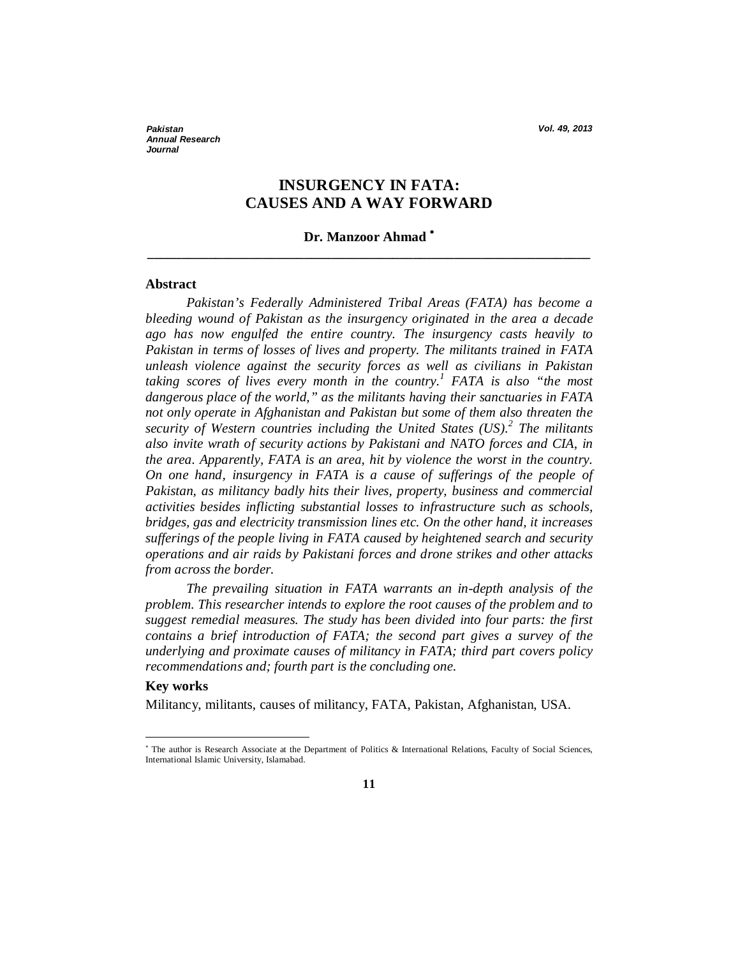*Pakistan Vol. 49, 2013 Annual Research Journal*

# **INSURGENCY IN FATA: CAUSES AND A WAY FORWARD**

# **Dr. Manzoor Ahmad \_\_\_\_\_\_\_\_\_\_\_\_\_\_\_\_\_\_\_\_\_\_\_\_\_\_\_\_\_\_\_\_\_\_\_\_\_\_\_\_\_\_\_\_\_\_\_\_\_\_\_\_\_\_\_\_\_\_\_\_\_\_\_\_\_**

#### **Abstract**

*Pakistan's Federally Administered Tribal Areas (FATA) has become a bleeding wound of Pakistan as the insurgency originated in the area a decade ago has now engulfed the entire country. The insurgency casts heavily to Pakistan in terms of losses of lives and property. The militants trained in FATA unleash violence against the security forces as well as civilians in Pakistan taking scores of lives every month in the country.<sup>1</sup> FATA is also "the most dangerous place of the world," as the militants having their sanctuaries in FATA not only operate in Afghanistan and Pakistan but some of them also threaten the security of Western countries including the United States (US).<sup>2</sup> The militants also invite wrath of security actions by Pakistani and NATO forces and CIA, in the area. Apparently, FATA is an area, hit by violence the worst in the country. On one hand, insurgency in FATA is a cause of sufferings of the people of Pakistan, as militancy badly hits their lives, property, business and commercial activities besides inflicting substantial losses to infrastructure such as schools, bridges, gas and electricity transmission lines etc. On the other hand, it increases sufferings of the people living in FATA caused by heightened search and security operations and air raids by Pakistani forces and drone strikes and other attacks from across the border.* 

*The prevailing situation in FATA warrants an in-depth analysis of the problem. This researcher intends to explore the root causes of the problem and to suggest remedial measures. The study has been divided into four parts: the first contains a brief introduction of FATA; the second part gives a survey of the underlying and proximate causes of militancy in FATA; third part covers policy recommendations and; fourth part is the concluding one.* 

#### **Key works**

 $\overline{a}$ 

Militancy, militants, causes of militancy, FATA, Pakistan, Afghanistan, USA.

<sup>&</sup>lt;sup>\*</sup> The author is Research Associate at the Department of Politics & International Relations, Faculty of Social Sciences, International Islamic University, Islamabad.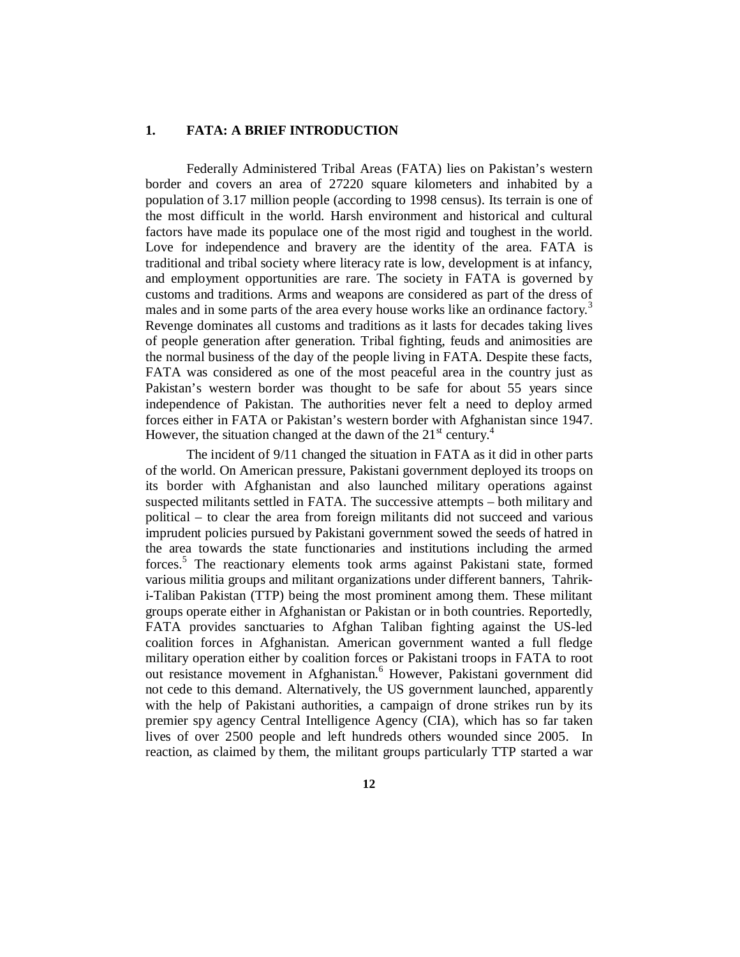#### **1. FATA: A BRIEF INTRODUCTION**

Federally Administered Tribal Areas (FATA) lies on Pakistan's western border and covers an area of 27220 square kilometers and inhabited by a population of 3.17 million people (according to 1998 census). Its terrain is one of the most difficult in the world. Harsh environment and historical and cultural factors have made its populace one of the most rigid and toughest in the world. Love for independence and bravery are the identity of the area. FATA is traditional and tribal society where literacy rate is low, development is at infancy, and employment opportunities are rare. The society in FATA is governed by customs and traditions. Arms and weapons are considered as part of the dress of males and in some parts of the area every house works like an ordinance factory.<sup>3</sup> Revenge dominates all customs and traditions as it lasts for decades taking lives of people generation after generation. Tribal fighting, feuds and animosities are the normal business of the day of the people living in FATA. Despite these facts, FATA was considered as one of the most peaceful area in the country just as Pakistan's western border was thought to be safe for about 55 years since independence of Pakistan. The authorities never felt a need to deploy armed forces either in FATA or Pakistan's western border with Afghanistan since 1947. However, the situation changed at the dawn of the  $21<sup>st</sup>$  century.<sup>4</sup>

The incident of 9/11 changed the situation in FATA as it did in other parts of the world. On American pressure, Pakistani government deployed its troops on its border with Afghanistan and also launched military operations against suspected militants settled in FATA. The successive attempts – both military and political – to clear the area from foreign militants did not succeed and various imprudent policies pursued by Pakistani government sowed the seeds of hatred in the area towards the state functionaries and institutions including the armed forces.<sup>5</sup> The reactionary elements took arms against Pakistani state, formed various militia groups and militant organizations under different banners, Tahriki-Taliban Pakistan (TTP) being the most prominent among them. These militant groups operate either in Afghanistan or Pakistan or in both countries. Reportedly, FATA provides sanctuaries to Afghan Taliban fighting against the US-led coalition forces in Afghanistan. American government wanted a full fledge military operation either by coalition forces or Pakistani troops in FATA to root out resistance movement in Afghanistan.<sup>6</sup> However, Pakistani government did not cede to this demand. Alternatively, the US government launched, apparently with the help of Pakistani authorities, a campaign of drone strikes run by its premier spy agency Central Intelligence Agency (CIA), which has so far taken lives of over 2500 people and left hundreds others wounded since 2005. In reaction, as claimed by them, the militant groups particularly TTP started a war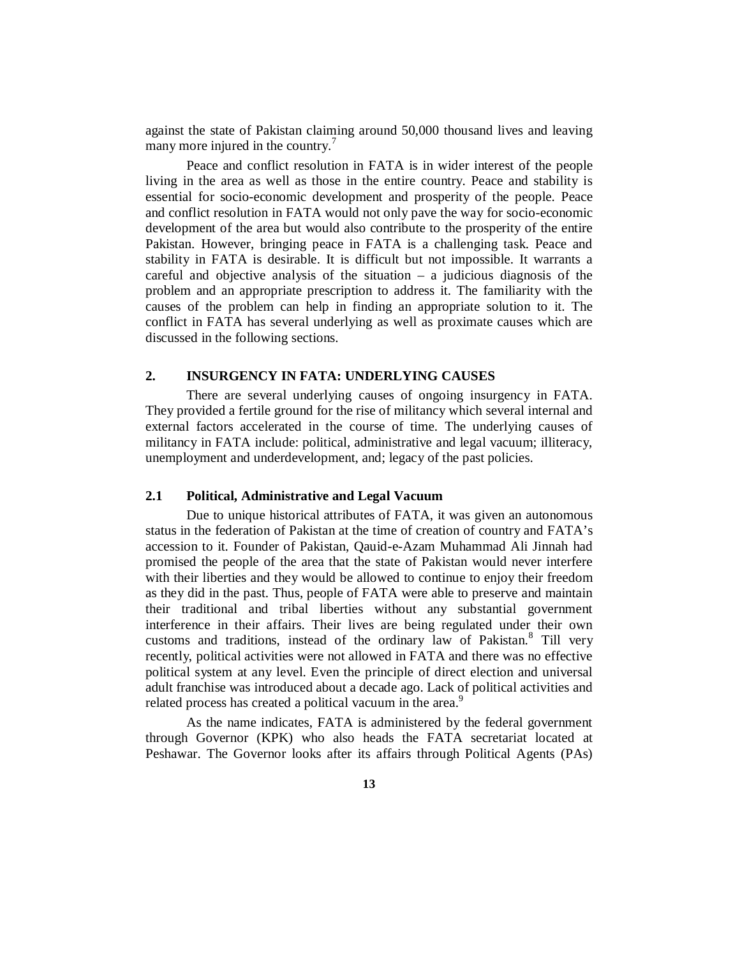against the state of Pakistan claiming around 50,000 thousand lives and leaving many more injured in the country.<sup>7</sup>

Peace and conflict resolution in FATA is in wider interest of the people living in the area as well as those in the entire country. Peace and stability is essential for socio-economic development and prosperity of the people. Peace and conflict resolution in FATA would not only pave the way for socio-economic development of the area but would also contribute to the prosperity of the entire Pakistan. However, bringing peace in FATA is a challenging task. Peace and stability in FATA is desirable. It is difficult but not impossible. It warrants a careful and objective analysis of the situation  $-$  a judicious diagnosis of the problem and an appropriate prescription to address it. The familiarity with the causes of the problem can help in finding an appropriate solution to it. The conflict in FATA has several underlying as well as proximate causes which are discussed in the following sections.

## **2. INSURGENCY IN FATA: UNDERLYING CAUSES**

There are several underlying causes of ongoing insurgency in FATA. They provided a fertile ground for the rise of militancy which several internal and external factors accelerated in the course of time. The underlying causes of militancy in FATA include: political, administrative and legal vacuum; illiteracy, unemployment and underdevelopment, and; legacy of the past policies.

# **2.1 Political, Administrative and Legal Vacuum**

Due to unique historical attributes of FATA, it was given an autonomous status in the federation of Pakistan at the time of creation of country and FATA's accession to it. Founder of Pakistan, Qauid-e-Azam Muhammad Ali Jinnah had promised the people of the area that the state of Pakistan would never interfere with their liberties and they would be allowed to continue to enjoy their freedom as they did in the past. Thus, people of FATA were able to preserve and maintain their traditional and tribal liberties without any substantial government interference in their affairs. Their lives are being regulated under their own customs and traditions, instead of the ordinary law of Pakistan.<sup>8</sup> Till very recently, political activities were not allowed in FATA and there was no effective political system at any level. Even the principle of direct election and universal adult franchise was introduced about a decade ago. Lack of political activities and related process has created a political vacuum in the area.<sup>9</sup>

As the name indicates, FATA is administered by the federal government through Governor (KPK) who also heads the FATA secretariat located at Peshawar. The Governor looks after its affairs through Political Agents (PAs)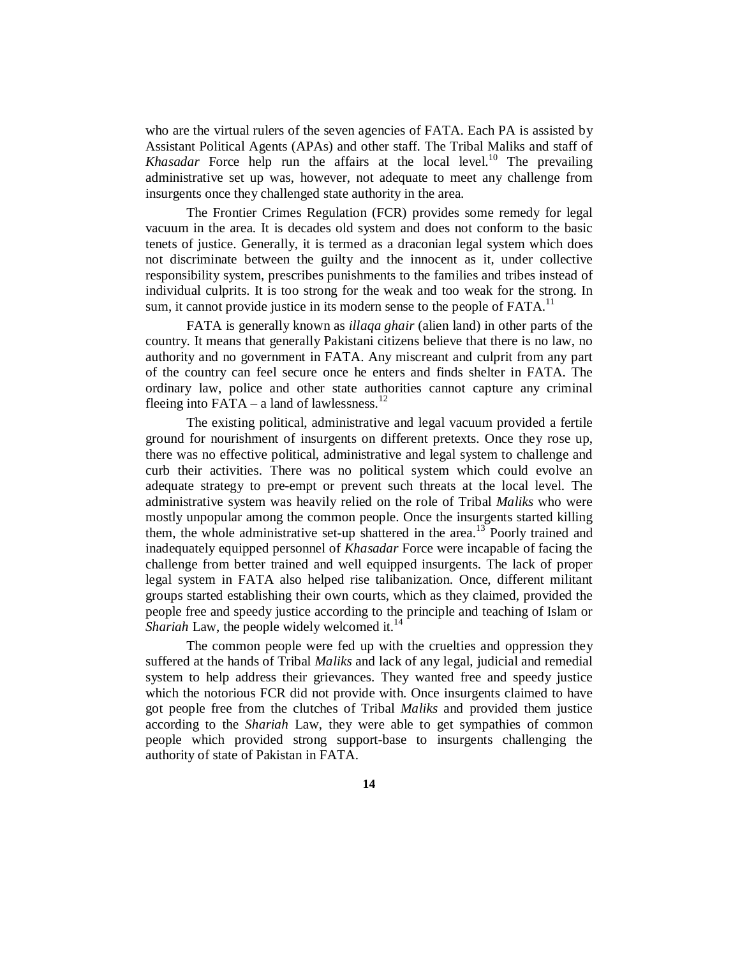who are the virtual rulers of the seven agencies of FATA. Each PA is assisted by Assistant Political Agents (APAs) and other staff. The Tribal Maliks and staff of *Khasadar* Force help run the affairs at the local level.<sup>10</sup> The prevailing administrative set up was, however, not adequate to meet any challenge from insurgents once they challenged state authority in the area.

The Frontier Crimes Regulation (FCR) provides some remedy for legal vacuum in the area. It is decades old system and does not conform to the basic tenets of justice. Generally, it is termed as a draconian legal system which does not discriminate between the guilty and the innocent as it, under collective responsibility system, prescribes punishments to the families and tribes instead of individual culprits. It is too strong for the weak and too weak for the strong. In sum, it cannot provide justice in its modern sense to the people of  $FATA$ <sup>11</sup>.

FATA is generally known as *illaqa ghair* (alien land) in other parts of the country. It means that generally Pakistani citizens believe that there is no law, no authority and no government in FATA. Any miscreant and culprit from any part of the country can feel secure once he enters and finds shelter in FATA. The ordinary law, police and other state authorities cannot capture any criminal fleeing into  $FATA - a$  land of lawlessness.<sup>12</sup>

The existing political, administrative and legal vacuum provided a fertile ground for nourishment of insurgents on different pretexts. Once they rose up, there was no effective political, administrative and legal system to challenge and curb their activities. There was no political system which could evolve an adequate strategy to pre-empt or prevent such threats at the local level. The administrative system was heavily relied on the role of Tribal *Maliks* who were mostly unpopular among the common people. Once the insurgents started killing them, the whole administrative set-up shattered in the area.<sup>13</sup> Poorly trained and inadequately equipped personnel of *Khasadar* Force were incapable of facing the challenge from better trained and well equipped insurgents. The lack of proper legal system in FATA also helped rise talibanization. Once, different militant groups started establishing their own courts, which as they claimed, provided the people free and speedy justice according to the principle and teaching of Islam or *Shariah* Law, the people widely welcomed it.<sup>14</sup>

The common people were fed up with the cruelties and oppression they suffered at the hands of Tribal *Maliks* and lack of any legal, judicial and remedial system to help address their grievances. They wanted free and speedy justice which the notorious FCR did not provide with. Once insurgents claimed to have got people free from the clutches of Tribal *Maliks* and provided them justice according to the *Shariah* Law, they were able to get sympathies of common people which provided strong support-base to insurgents challenging the authority of state of Pakistan in FATA.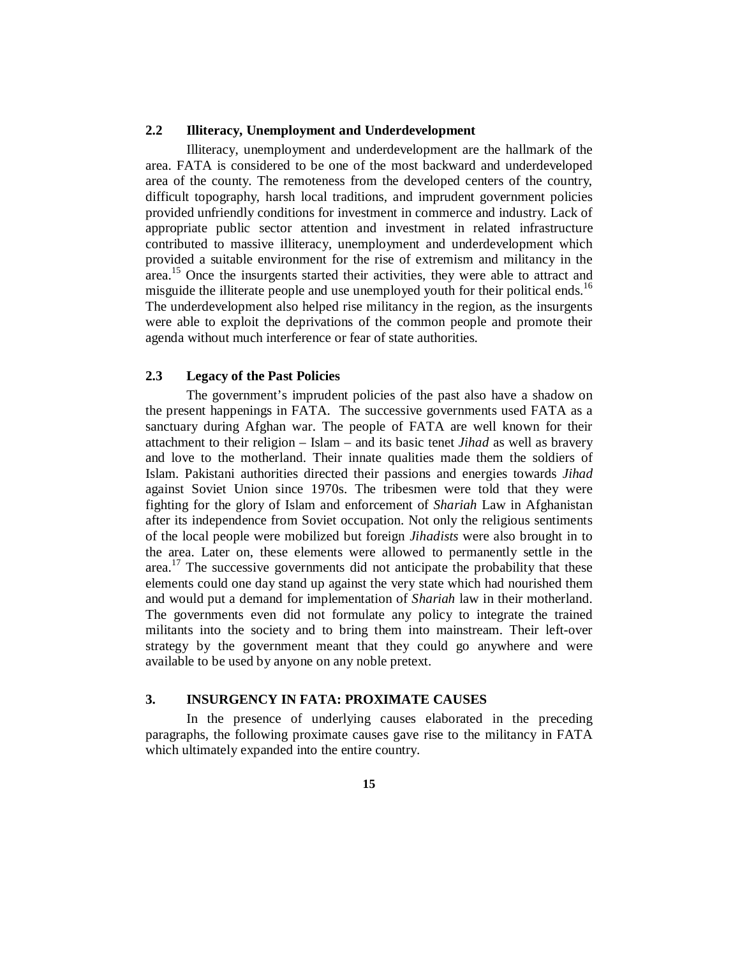#### **2.2 Illiteracy, Unemployment and Underdevelopment**

Illiteracy, unemployment and underdevelopment are the hallmark of the area. FATA is considered to be one of the most backward and underdeveloped area of the county. The remoteness from the developed centers of the country, difficult topography, harsh local traditions, and imprudent government policies provided unfriendly conditions for investment in commerce and industry. Lack of appropriate public sector attention and investment in related infrastructure contributed to massive illiteracy, unemployment and underdevelopment which provided a suitable environment for the rise of extremism and militancy in the area.<sup>15</sup> Once the insurgents started their activities, they were able to attract and misguide the illiterate people and use unemployed youth for their political ends.<sup>16</sup> The underdevelopment also helped rise militancy in the region, as the insurgents were able to exploit the deprivations of the common people and promote their agenda without much interference or fear of state authorities.

# **2.3 Legacy of the Past Policies**

The government's imprudent policies of the past also have a shadow on the present happenings in FATA. The successive governments used FATA as a sanctuary during Afghan war. The people of FATA are well known for their attachment to their religion – Islam – and its basic tenet *Jihad* as well as bravery and love to the motherland. Their innate qualities made them the soldiers of Islam. Pakistani authorities directed their passions and energies towards *Jihad* against Soviet Union since 1970s. The tribesmen were told that they were fighting for the glory of Islam and enforcement of *Shariah* Law in Afghanistan after its independence from Soviet occupation. Not only the religious sentiments of the local people were mobilized but foreign *Jihadists* were also brought in to the area. Later on, these elements were allowed to permanently settle in the area.<sup>17</sup> The successive governments did not anticipate the probability that these elements could one day stand up against the very state which had nourished them and would put a demand for implementation of *Shariah* law in their motherland. The governments even did not formulate any policy to integrate the trained militants into the society and to bring them into mainstream. Their left-over strategy by the government meant that they could go anywhere and were available to be used by anyone on any noble pretext.

# **3. INSURGENCY IN FATA: PROXIMATE CAUSES**

In the presence of underlying causes elaborated in the preceding paragraphs, the following proximate causes gave rise to the militancy in FATA which ultimately expanded into the entire country.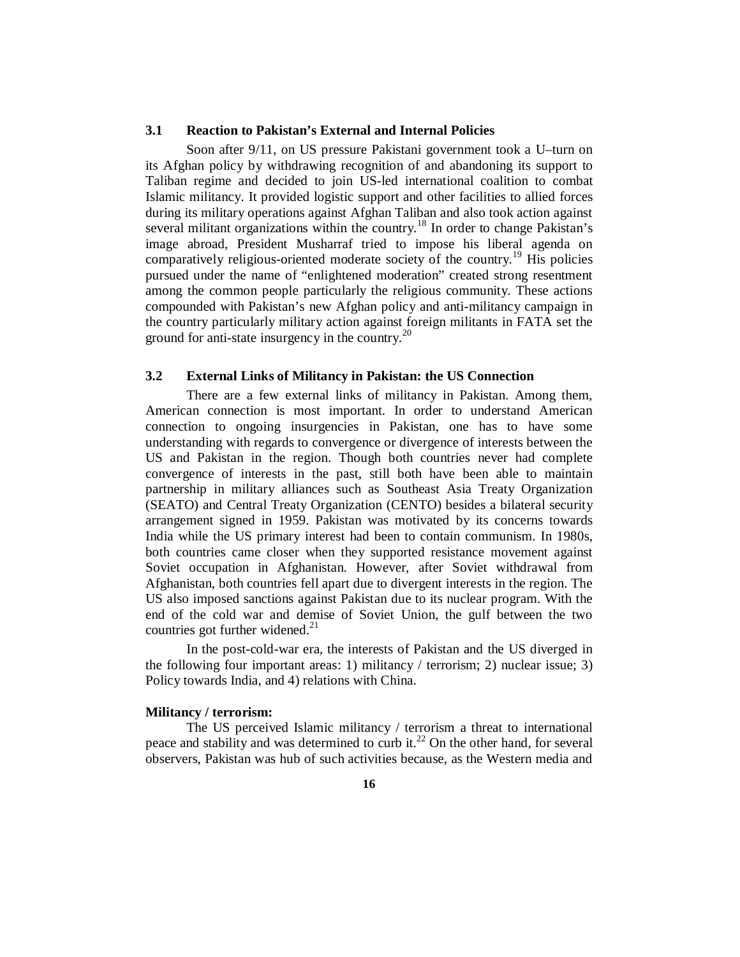#### **3.1 Reaction to Pakistan's External and Internal Policies**

Soon after 9/11, on US pressure Pakistani government took a U–turn on its Afghan policy by withdrawing recognition of and abandoning its support to Taliban regime and decided to join US-led international coalition to combat Islamic militancy. It provided logistic support and other facilities to allied forces during its military operations against Afghan Taliban and also took action against several militant organizations within the country.<sup>18</sup> In order to change Pakistan's image abroad, President Musharraf tried to impose his liberal agenda on comparatively religious-oriented moderate society of the country.<sup>19</sup> His policies pursued under the name of "enlightened moderation" created strong resentment among the common people particularly the religious community. These actions compounded with Pakistan's new Afghan policy and anti-militancy campaign in the country particularly military action against foreign militants in FATA set the ground for anti-state insurgency in the country.<sup>20</sup>

# **3.2 External Links of Militancy in Pakistan: the US Connection**

There are a few external links of militancy in Pakistan. Among them, American connection is most important. In order to understand American connection to ongoing insurgencies in Pakistan, one has to have some understanding with regards to convergence or divergence of interests between the US and Pakistan in the region. Though both countries never had complete convergence of interests in the past, still both have been able to maintain partnership in military alliances such as Southeast Asia Treaty Organization (SEATO) and Central Treaty Organization (CENTO) besides a bilateral security arrangement signed in 1959. Pakistan was motivated by its concerns towards India while the US primary interest had been to contain communism. In 1980s, both countries came closer when they supported resistance movement against Soviet occupation in Afghanistan. However, after Soviet withdrawal from Afghanistan, both countries fell apart due to divergent interests in the region. The US also imposed sanctions against Pakistan due to its nuclear program. With the end of the cold war and demise of Soviet Union, the gulf between the two countries got further widened. $^{21}$ 

In the post-cold-war era, the interests of Pakistan and the US diverged in the following four important areas: 1) militancy / terrorism; 2) nuclear issue; 3) Policy towards India, and 4) relations with China.

#### **Militancy / terrorism:**

The US perceived Islamic militancy / terrorism a threat to international peace and stability and was determined to curb it.<sup>22</sup> On the other hand, for several observers, Pakistan was hub of such activities because, as the Western media and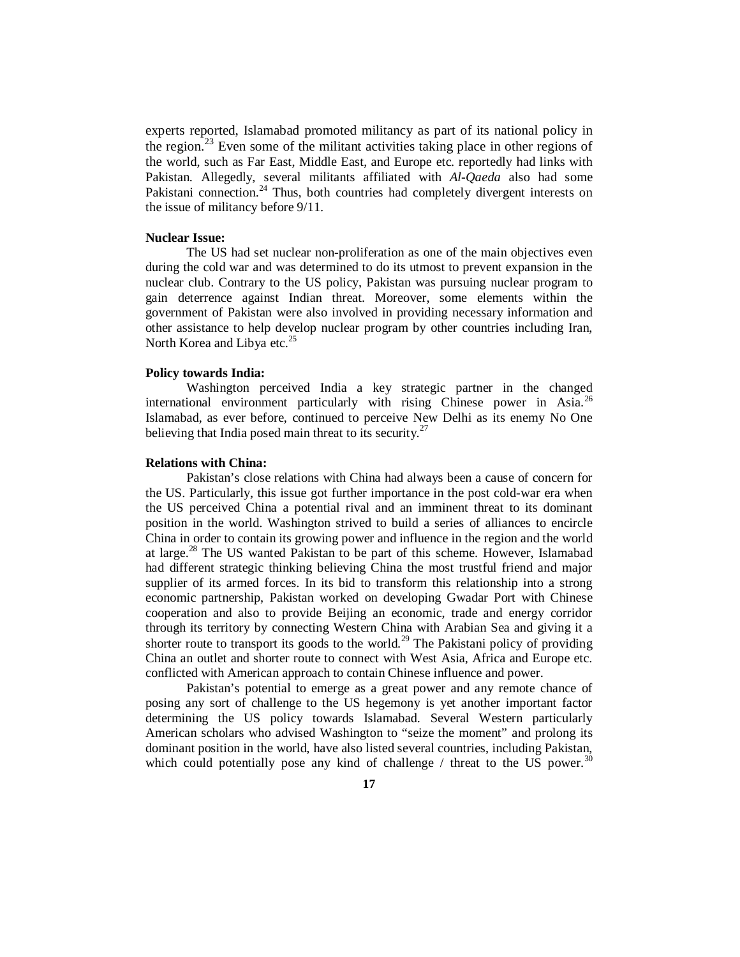experts reported, Islamabad promoted militancy as part of its national policy in the region.<sup>23</sup> Even some of the militant activities taking place in other regions of the world, such as Far East, Middle East, and Europe etc. reportedly had links with Pakistan. Allegedly, several militants affiliated with *Al-Qaeda* also had some Pakistani connection.<sup>24</sup> Thus, both countries had completely divergent interests on the issue of militancy before 9/11.

#### **Nuclear Issue:**

The US had set nuclear non-proliferation as one of the main objectives even during the cold war and was determined to do its utmost to prevent expansion in the nuclear club. Contrary to the US policy, Pakistan was pursuing nuclear program to gain deterrence against Indian threat. Moreover, some elements within the government of Pakistan were also involved in providing necessary information and other assistance to help develop nuclear program by other countries including Iran, North Korea and Libya etc. $^{25}$ 

#### **Policy towards India:**

Washington perceived India a key strategic partner in the changed international environment particularly with rising Chinese power in Asia.<sup>26</sup> Islamabad, as ever before, continued to perceive New Delhi as its enemy No One believing that India posed main threat to its security.<sup>27</sup>

#### **Relations with China:**

Pakistan's close relations with China had always been a cause of concern for the US. Particularly, this issue got further importance in the post cold-war era when the US perceived China a potential rival and an imminent threat to its dominant position in the world. Washington strived to build a series of alliances to encircle China in order to contain its growing power and influence in the region and the world at large.<sup>28</sup> The US wanted Pakistan to be part of this scheme. However, Islamabad had different strategic thinking believing China the most trustful friend and major supplier of its armed forces. In its bid to transform this relationship into a strong economic partnership, Pakistan worked on developing Gwadar Port with Chinese cooperation and also to provide Beijing an economic, trade and energy corridor through its territory by connecting Western China with Arabian Sea and giving it a shorter route to transport its goods to the world.<sup>29</sup> The Pakistani policy of providing China an outlet and shorter route to connect with West Asia, Africa and Europe etc. conflicted with American approach to contain Chinese influence and power.

Pakistan's potential to emerge as a great power and any remote chance of posing any sort of challenge to the US hegemony is yet another important factor determining the US policy towards Islamabad. Several Western particularly American scholars who advised Washington to "seize the moment" and prolong its dominant position in the world, have also listed several countries, including Pakistan, which could potentially pose any kind of challenge / threat to the US power.<sup>30</sup>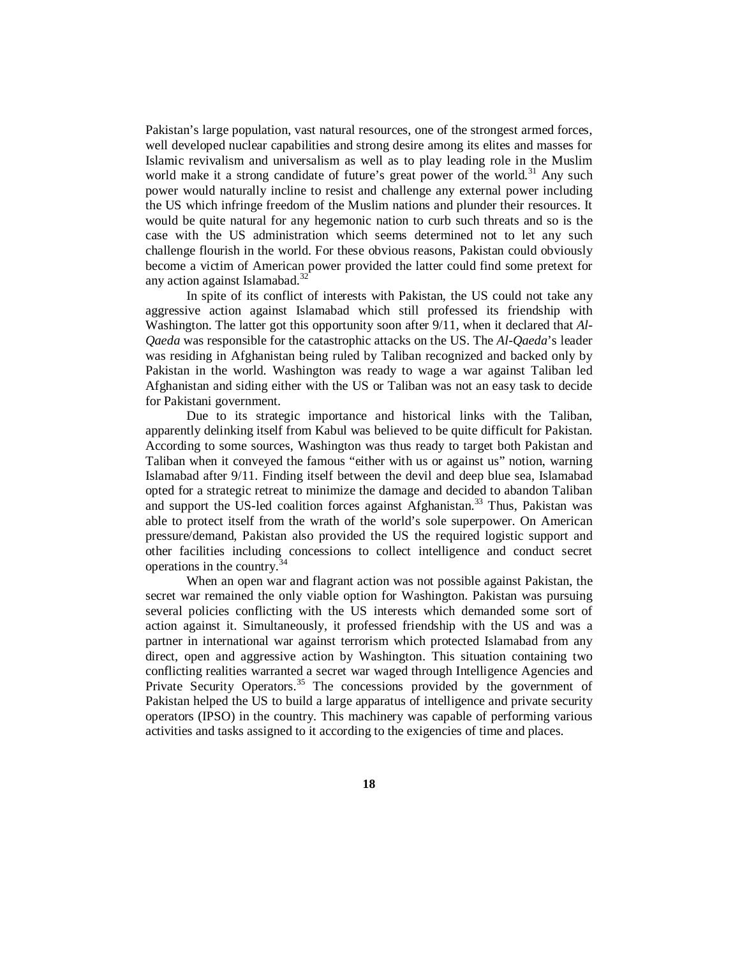Pakistan's large population, vast natural resources, one of the strongest armed forces, well developed nuclear capabilities and strong desire among its elites and masses for Islamic revivalism and universalism as well as to play leading role in the Muslim world make it a strong candidate of future's great power of the world.<sup>31</sup> Any such power would naturally incline to resist and challenge any external power including the US which infringe freedom of the Muslim nations and plunder their resources. It would be quite natural for any hegemonic nation to curb such threats and so is the case with the US administration which seems determined not to let any such challenge flourish in the world. For these obvious reasons, Pakistan could obviously become a victim of American power provided the latter could find some pretext for any action against Islamabad.<sup>32</sup>

In spite of its conflict of interests with Pakistan, the US could not take any aggressive action against Islamabad which still professed its friendship with Washington. The latter got this opportunity soon after 9/11, when it declared that *Al-Qaeda* was responsible for the catastrophic attacks on the US. The *Al-Qaeda*'s leader was residing in Afghanistan being ruled by Taliban recognized and backed only by Pakistan in the world. Washington was ready to wage a war against Taliban led Afghanistan and siding either with the US or Taliban was not an easy task to decide for Pakistani government.

Due to its strategic importance and historical links with the Taliban, apparently delinking itself from Kabul was believed to be quite difficult for Pakistan. According to some sources, Washington was thus ready to target both Pakistan and Taliban when it conveyed the famous "either with us or against us" notion, warning Islamabad after 9/11. Finding itself between the devil and deep blue sea, Islamabad opted for a strategic retreat to minimize the damage and decided to abandon Taliban and support the US-led coalition forces against Afghanistan.<sup>33</sup> Thus, Pakistan was able to protect itself from the wrath of the world's sole superpower. On American pressure/demand, Pakistan also provided the US the required logistic support and other facilities including concessions to collect intelligence and conduct secret operations in the country.<sup>34</sup>

When an open war and flagrant action was not possible against Pakistan, the secret war remained the only viable option for Washington. Pakistan was pursuing several policies conflicting with the US interests which demanded some sort of action against it. Simultaneously, it professed friendship with the US and was a partner in international war against terrorism which protected Islamabad from any direct, open and aggressive action by Washington. This situation containing two conflicting realities warranted a secret war waged through Intelligence Agencies and Private Security Operators.<sup>35</sup> The concessions provided by the government of Pakistan helped the US to build a large apparatus of intelligence and private security operators (IPSO) in the country. This machinery was capable of performing various activities and tasks assigned to it according to the exigencies of time and places.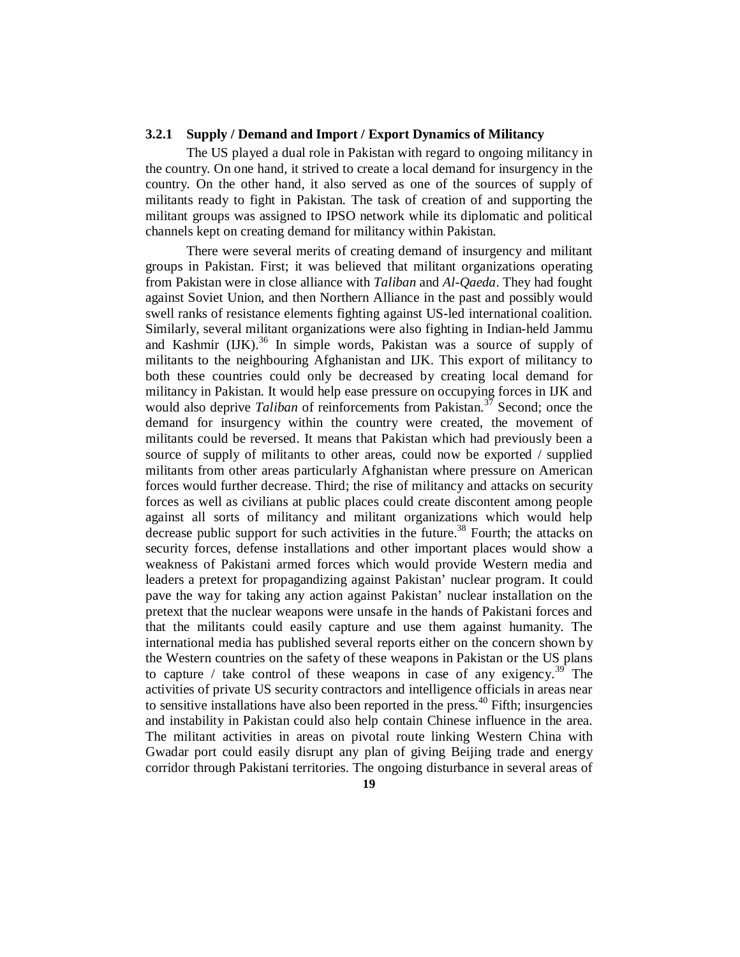#### **3.2.1 Supply / Demand and Import / Export Dynamics of Militancy**

The US played a dual role in Pakistan with regard to ongoing militancy in the country. On one hand, it strived to create a local demand for insurgency in the country. On the other hand, it also served as one of the sources of supply of militants ready to fight in Pakistan. The task of creation of and supporting the militant groups was assigned to IPSO network while its diplomatic and political channels kept on creating demand for militancy within Pakistan.

There were several merits of creating demand of insurgency and militant groups in Pakistan. First; it was believed that militant organizations operating from Pakistan were in close alliance with *Taliban* and *Al-Qaeda*. They had fought against Soviet Union, and then Northern Alliance in the past and possibly would swell ranks of resistance elements fighting against US-led international coalition. Similarly, several militant organizations were also fighting in Indian-held Jammu and Kashmir  $(IIK)$ <sup>36</sup> In simple words, Pakistan was a source of supply of militants to the neighbouring Afghanistan and IJK. This export of militancy to both these countries could only be decreased by creating local demand for militancy in Pakistan. It would help ease pressure on occupying forces in IJK and would also deprive *Taliban* of reinforcements from Pakistan.<sup>37</sup> Second; once the demand for insurgency within the country were created, the movement of militants could be reversed. It means that Pakistan which had previously been a source of supply of militants to other areas, could now be exported / supplied militants from other areas particularly Afghanistan where pressure on American forces would further decrease. Third; the rise of militancy and attacks on security forces as well as civilians at public places could create discontent among people against all sorts of militancy and militant organizations which would help decrease public support for such activities in the future.<sup>38</sup> Fourth; the attacks on security forces, defense installations and other important places would show a weakness of Pakistani armed forces which would provide Western media and leaders a pretext for propagandizing against Pakistan' nuclear program. It could pave the way for taking any action against Pakistan' nuclear installation on the pretext that the nuclear weapons were unsafe in the hands of Pakistani forces and that the militants could easily capture and use them against humanity. The international media has published several reports either on the concern shown by the Western countries on the safety of these weapons in Pakistan or the US plans to capture / take control of these weapons in case of any exigency.<sup>39</sup> The activities of private US security contractors and intelligence officials in areas near to sensitive installations have also been reported in the press.<sup> $40$ </sup> Fifth; insurgencies and instability in Pakistan could also help contain Chinese influence in the area. The militant activities in areas on pivotal route linking Western China with Gwadar port could easily disrupt any plan of giving Beijing trade and energy corridor through Pakistani territories. The ongoing disturbance in several areas of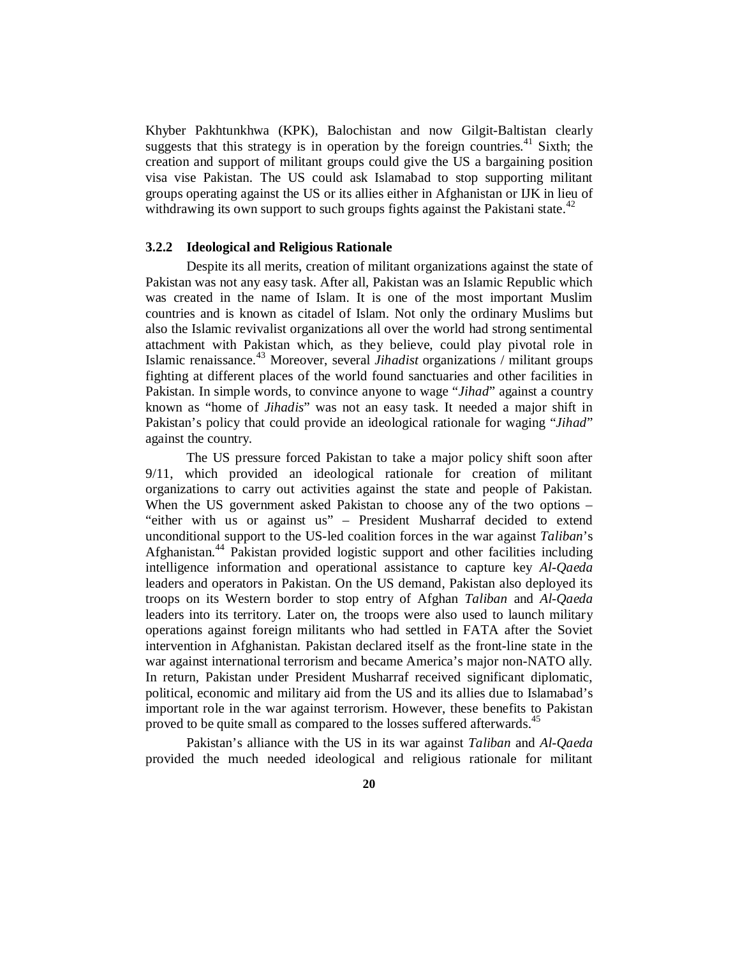Khyber Pakhtunkhwa (KPK), Balochistan and now Gilgit-Baltistan clearly suggests that this strategy is in operation by the foreign countries.<sup>41</sup> Sixth; the creation and support of militant groups could give the US a bargaining position visa vise Pakistan. The US could ask Islamabad to stop supporting militant groups operating against the US or its allies either in Afghanistan or IJK in lieu of withdrawing its own support to such groups fights against the Pakistani state.<sup>42</sup>

#### **3.2.2 Ideological and Religious Rationale**

Despite its all merits, creation of militant organizations against the state of Pakistan was not any easy task. After all, Pakistan was an Islamic Republic which was created in the name of Islam. It is one of the most important Muslim countries and is known as citadel of Islam. Not only the ordinary Muslims but also the Islamic revivalist organizations all over the world had strong sentimental attachment with Pakistan which, as they believe, could play pivotal role in Islamic renaissance.<sup>43</sup> Moreover, several *Jihadist* organizations / militant groups fighting at different places of the world found sanctuaries and other facilities in Pakistan. In simple words, to convince anyone to wage "*Jihad*" against a country known as "home of *Jihadis*" was not an easy task. It needed a major shift in Pakistan's policy that could provide an ideological rationale for waging "*Jihad*" against the country.

The US pressure forced Pakistan to take a major policy shift soon after 9/11, which provided an ideological rationale for creation of militant organizations to carry out activities against the state and people of Pakistan. When the US government asked Pakistan to choose any of the two options – "either with us or against us" – President Musharraf decided to extend unconditional support to the US-led coalition forces in the war against *Taliban*'s Afghanistan.<sup>44</sup> Pakistan provided logistic support and other facilities including intelligence information and operational assistance to capture key *Al-Qaeda* leaders and operators in Pakistan. On the US demand, Pakistan also deployed its troops on its Western border to stop entry of Afghan *Taliban* and *Al-Qaeda* leaders into its territory. Later on, the troops were also used to launch military operations against foreign militants who had settled in FATA after the Soviet intervention in Afghanistan. Pakistan declared itself as the front-line state in the war against international terrorism and became America's major non-NATO ally. In return, Pakistan under President Musharraf received significant diplomatic, political, economic and military aid from the US and its allies due to Islamabad's important role in the war against terrorism. However, these benefits to Pakistan proved to be quite small as compared to the losses suffered afterwards.<sup>45</sup>

Pakistan's alliance with the US in its war against *Taliban* and *Al-Qaeda* provided the much needed ideological and religious rationale for militant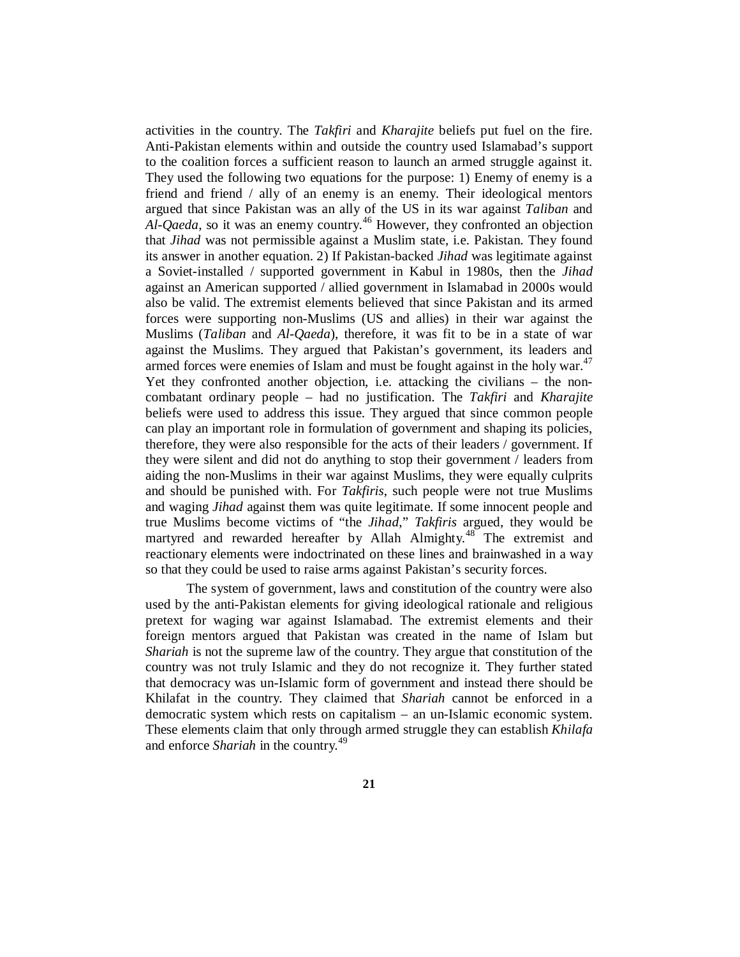activities in the country. The *Takfiri* and *Kharajite* beliefs put fuel on the fire. Anti-Pakistan elements within and outside the country used Islamabad's support to the coalition forces a sufficient reason to launch an armed struggle against it. They used the following two equations for the purpose: 1) Enemy of enemy is a friend and friend / ally of an enemy is an enemy. Their ideological mentors argued that since Pakistan was an ally of the US in its war against *Taliban* and *Al-Qaeda*, so it was an enemy country.<sup>46</sup> However, they confronted an objection that *Jihad* was not permissible against a Muslim state, i.e. Pakistan. They found its answer in another equation. 2) If Pakistan-backed *Jihad* was legitimate against a Soviet-installed / supported government in Kabul in 1980s, then the *Jihad* against an American supported / allied government in Islamabad in 2000s would also be valid. The extremist elements believed that since Pakistan and its armed forces were supporting non-Muslims (US and allies) in their war against the Muslims (*Taliban* and *Al-Qaeda*), therefore, it was fit to be in a state of war against the Muslims. They argued that Pakistan's government, its leaders and armed forces were enemies of Islam and must be fought against in the holy war.<sup>47</sup> Yet they confronted another objection, i.e. attacking the civilians – the noncombatant ordinary people – had no justification. The *Takfiri* and *Kharajite* beliefs were used to address this issue. They argued that since common people can play an important role in formulation of government and shaping its policies, therefore, they were also responsible for the acts of their leaders / government. If they were silent and did not do anything to stop their government / leaders from aiding the non-Muslims in their war against Muslims, they were equally culprits and should be punished with. For *Takfiris*, such people were not true Muslims and waging *Jihad* against them was quite legitimate. If some innocent people and true Muslims become victims of "the *Jihad*," *Takfiris* argued, they would be martyred and rewarded hereafter by Allah Almighty.<sup>48</sup> The extremist and reactionary elements were indoctrinated on these lines and brainwashed in a way so that they could be used to raise arms against Pakistan's security forces.

The system of government, laws and constitution of the country were also used by the anti-Pakistan elements for giving ideological rationale and religious pretext for waging war against Islamabad. The extremist elements and their foreign mentors argued that Pakistan was created in the name of Islam but *Shariah* is not the supreme law of the country. They argue that constitution of the country was not truly Islamic and they do not recognize it. They further stated that democracy was un-Islamic form of government and instead there should be Khilafat in the country. They claimed that *Shariah* cannot be enforced in a democratic system which rests on capitalism – an un-Islamic economic system. These elements claim that only through armed struggle they can establish *Khilafa* and enforce *Shariah* in the country.<sup>49</sup>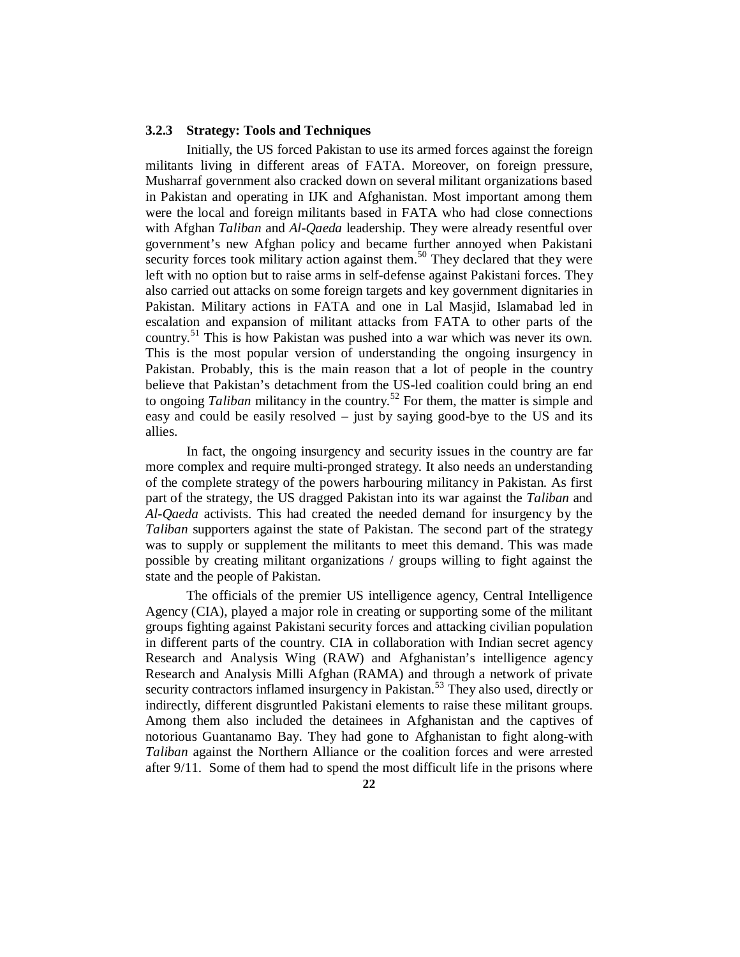#### **3.2.3 Strategy: Tools and Techniques**

Initially, the US forced Pakistan to use its armed forces against the foreign militants living in different areas of FATA. Moreover, on foreign pressure, Musharraf government also cracked down on several militant organizations based in Pakistan and operating in IJK and Afghanistan. Most important among them were the local and foreign militants based in FATA who had close connections with Afghan *Taliban* and *Al-Qaeda* leadership. They were already resentful over government's new Afghan policy and became further annoyed when Pakistani security forces took military action against them.<sup>50</sup> They declared that they were left with no option but to raise arms in self-defense against Pakistani forces. They also carried out attacks on some foreign targets and key government dignitaries in Pakistan. Military actions in FATA and one in Lal Masjid, Islamabad led in escalation and expansion of militant attacks from FATA to other parts of the country.<sup>51</sup> This is how Pakistan was pushed into a war which was never its own. This is the most popular version of understanding the ongoing insurgency in Pakistan. Probably, this is the main reason that a lot of people in the country believe that Pakistan's detachment from the US-led coalition could bring an end to ongoing *Taliban* militancy in the country.<sup>52</sup> For them, the matter is simple and easy and could be easily resolved – just by saying good-bye to the US and its allies.

In fact, the ongoing insurgency and security issues in the country are far more complex and require multi-pronged strategy. It also needs an understanding of the complete strategy of the powers harbouring militancy in Pakistan. As first part of the strategy, the US dragged Pakistan into its war against the *Taliban* and *Al-Qaeda* activists. This had created the needed demand for insurgency by the *Taliban* supporters against the state of Pakistan. The second part of the strategy was to supply or supplement the militants to meet this demand. This was made possible by creating militant organizations / groups willing to fight against the state and the people of Pakistan.

The officials of the premier US intelligence agency, Central Intelligence Agency (CIA), played a major role in creating or supporting some of the militant groups fighting against Pakistani security forces and attacking civilian population in different parts of the country. CIA in collaboration with Indian secret agency Research and Analysis Wing (RAW) and Afghanistan's intelligence agency Research and Analysis Milli Afghan (RAMA) and through a network of private security contractors inflamed insurgency in Pakistan.<sup>53</sup> They also used, directly or indirectly, different disgruntled Pakistani elements to raise these militant groups. Among them also included the detainees in Afghanistan and the captives of notorious Guantanamo Bay. They had gone to Afghanistan to fight along-with *Taliban* against the Northern Alliance or the coalition forces and were arrested after 9/11. Some of them had to spend the most difficult life in the prisons where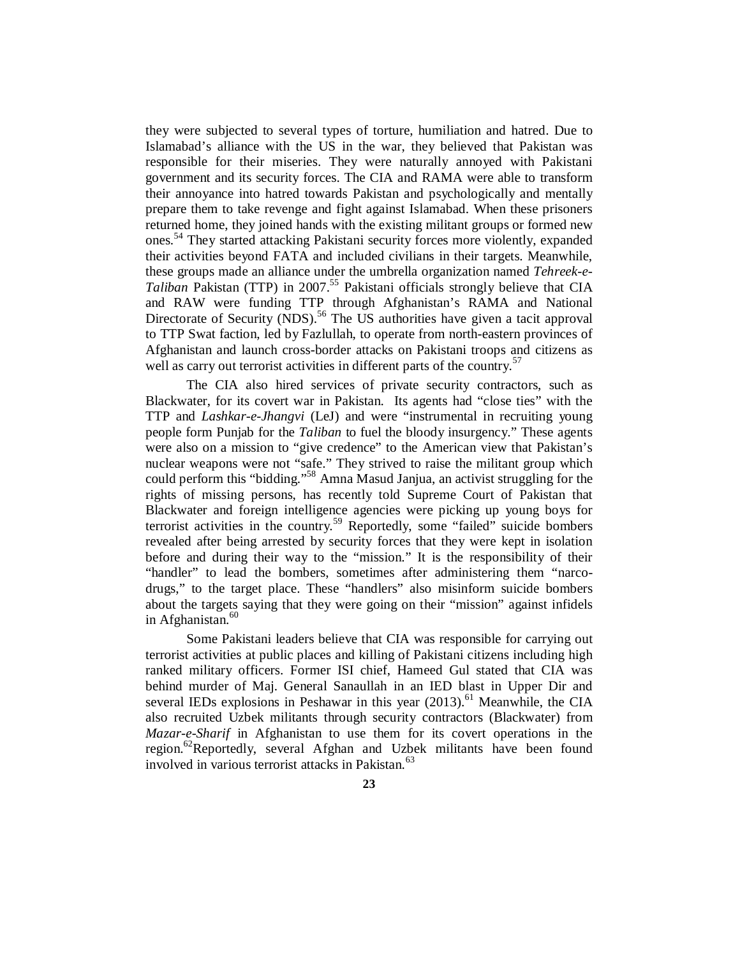they were subjected to several types of torture, humiliation and hatred. Due to Islamabad's alliance with the US in the war, they believed that Pakistan was responsible for their miseries. They were naturally annoyed with Pakistani government and its security forces. The CIA and RAMA were able to transform their annoyance into hatred towards Pakistan and psychologically and mentally prepare them to take revenge and fight against Islamabad. When these prisoners returned home, they joined hands with the existing militant groups or formed new ones.<sup>54</sup> They started attacking Pakistani security forces more violently, expanded their activities beyond FATA and included civilians in their targets. Meanwhile, these groups made an alliance under the umbrella organization named *Tehreek-e-Taliban* Pakistan (TTP) in 2007. <sup>55</sup> Pakistani officials strongly believe that CIA and RAW were funding TTP through Afghanistan's RAMA and National Directorate of Security (NDS).<sup>56</sup> The US authorities have given a tacit approval to TTP Swat faction, led by Fazlullah, to operate from north-eastern provinces of Afghanistan and launch cross-border attacks on Pakistani troops and citizens as well as carry out terrorist activities in different parts of the country.<sup>57</sup>

The CIA also hired services of private security contractors, such as Blackwater, for its covert war in Pakistan. Its agents had "close ties" with the TTP and *Lashkar-e-Jhangvi* (LeJ) and were "instrumental in recruiting young people form Punjab for the *Taliban* to fuel the bloody insurgency." These agents were also on a mission to "give credence" to the American view that Pakistan's nuclear weapons were not "safe." They strived to raise the militant group which could perform this "bidding."<sup>58</sup> Amna Masud Janjua, an activist struggling for the rights of missing persons, has recently told Supreme Court of Pakistan that Blackwater and foreign intelligence agencies were picking up young boys for terrorist activities in the country.<sup>59</sup> Reportedly, some "failed" suicide bombers revealed after being arrested by security forces that they were kept in isolation before and during their way to the "mission." It is the responsibility of their "handler" to lead the bombers, sometimes after administering them "narcodrugs," to the target place. These "handlers" also misinform suicide bombers about the targets saying that they were going on their "mission" against infidels in Afghanistan.<sup>60</sup>

Some Pakistani leaders believe that CIA was responsible for carrying out terrorist activities at public places and killing of Pakistani citizens including high ranked military officers. Former ISI chief, Hameed Gul stated that CIA was behind murder of Maj. General Sanaullah in an IED blast in Upper Dir and several IEDs explosions in Peshawar in this year  $(2013)$ .<sup>61</sup> Meanwhile, the CIA also recruited Uzbek militants through security contractors (Blackwater) from *Mazar-e-Sharif* in Afghanistan to use them for its covert operations in the region.<sup>62</sup>Reportedly, several Afghan and Uzbek militants have been found involved in various terrorist attacks in Pakistan.<sup>63</sup>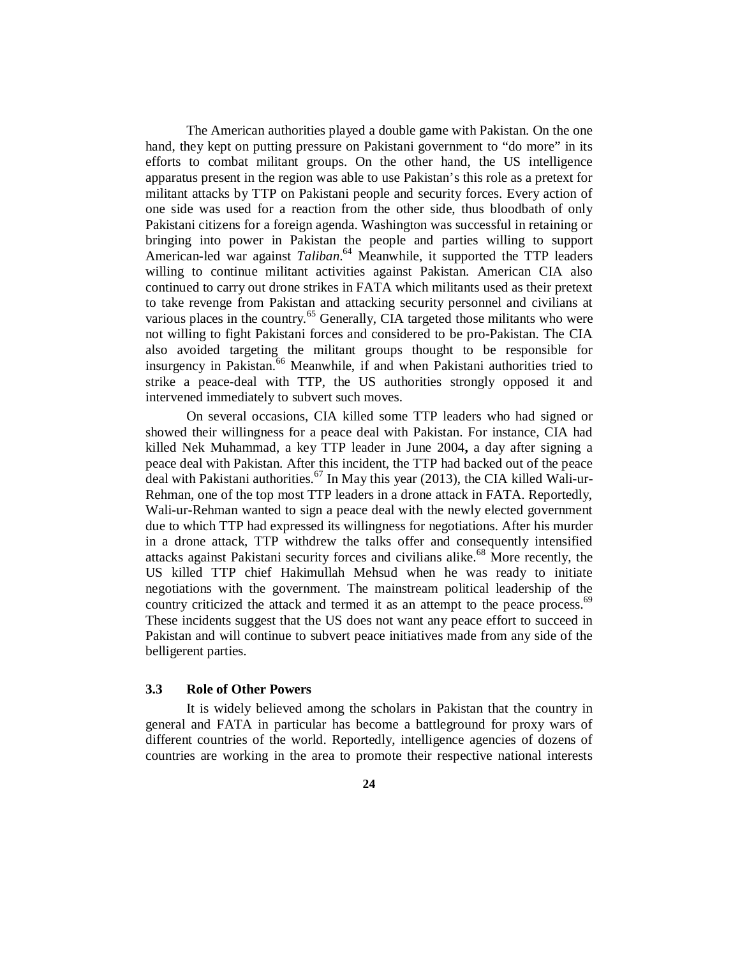The American authorities played a double game with Pakistan. On the one hand, they kept on putting pressure on Pakistani government to "do more" in its efforts to combat militant groups. On the other hand, the US intelligence apparatus present in the region was able to use Pakistan's this role as a pretext for militant attacks by TTP on Pakistani people and security forces. Every action of one side was used for a reaction from the other side, thus bloodbath of only Pakistani citizens for a foreign agenda. Washington was successful in retaining or bringing into power in Pakistan the people and parties willing to support American-led war against *Taliban*. <sup>64</sup> Meanwhile, it supported the TTP leaders willing to continue militant activities against Pakistan. American CIA also continued to carry out drone strikes in FATA which militants used as their pretext to take revenge from Pakistan and attacking security personnel and civilians at various places in the country.<sup>65</sup> Generally, CIA targeted those militants who were not willing to fight Pakistani forces and considered to be pro-Pakistan. The CIA also avoided targeting the militant groups thought to be responsible for insurgency in Pakistan.<sup>66</sup> Meanwhile, if and when Pakistani authorities tried to strike a peace-deal with TTP, the US authorities strongly opposed it and intervened immediately to subvert such moves.

On several occasions, CIA killed some TTP leaders who had signed or showed their willingness for a peace deal with Pakistan. For instance, CIA had killed Nek Muhammad, a key TTP leader in June 2004**,** a day after signing a peace deal with Pakistan. After this incident, the TTP had backed out of the peace deal with Pakistani authorities.<sup>67</sup> In May this year (2013), the CIA killed Wali-ur-Rehman, one of the top most TTP leaders in a drone attack in FATA. Reportedly, Wali-ur-Rehman wanted to sign a peace deal with the newly elected government due to which TTP had expressed its willingness for negotiations. After his murder in a drone attack, TTP withdrew the talks offer and consequently intensified attacks against Pakistani security forces and civilians alike.<sup>68</sup> More recently, the US killed TTP chief Hakimullah Mehsud when he was ready to initiate negotiations with the government. The mainstream political leadership of the country criticized the attack and termed it as an attempt to the peace process.<sup>69</sup> These incidents suggest that the US does not want any peace effort to succeed in Pakistan and will continue to subvert peace initiatives made from any side of the belligerent parties.

#### **3.3 Role of Other Powers**

It is widely believed among the scholars in Pakistan that the country in general and FATA in particular has become a battleground for proxy wars of different countries of the world. Reportedly, intelligence agencies of dozens of countries are working in the area to promote their respective national interests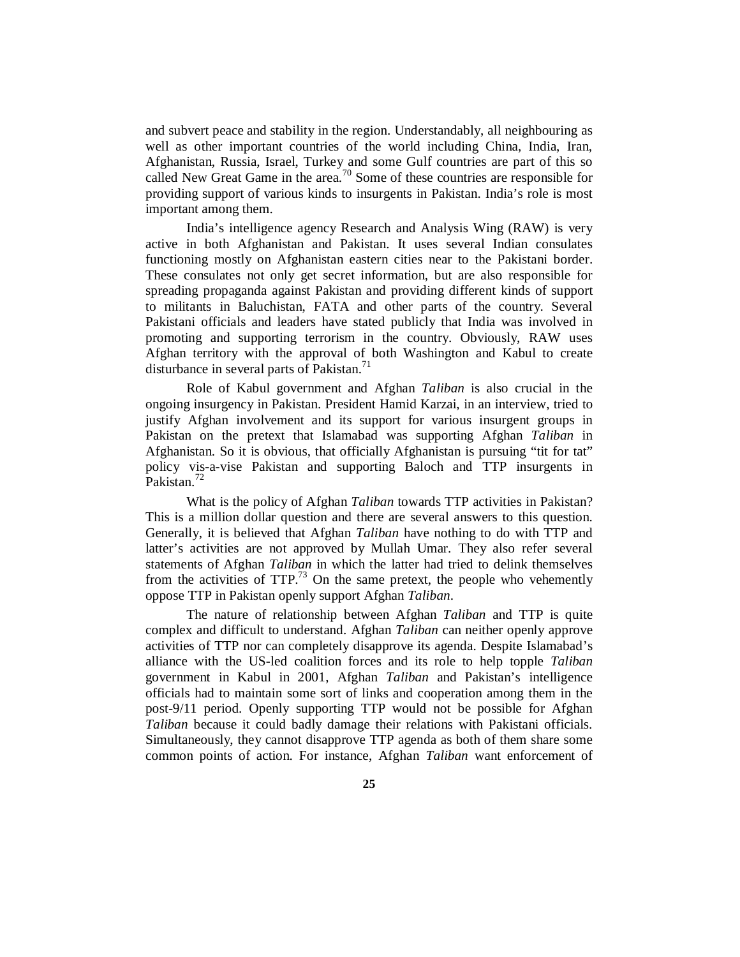and subvert peace and stability in the region. Understandably, all neighbouring as well as other important countries of the world including China, India, Iran, Afghanistan, Russia, Israel, Turkey and some Gulf countries are part of this so called New Great Game in the area.<sup>70</sup> Some of these countries are responsible for providing support of various kinds to insurgents in Pakistan. India's role is most important among them.

India's intelligence agency Research and Analysis Wing (RAW) is very active in both Afghanistan and Pakistan. It uses several Indian consulates functioning mostly on Afghanistan eastern cities near to the Pakistani border. These consulates not only get secret information, but are also responsible for spreading propaganda against Pakistan and providing different kinds of support to militants in Baluchistan, FATA and other parts of the country. Several Pakistani officials and leaders have stated publicly that India was involved in promoting and supporting terrorism in the country. Obviously, RAW uses Afghan territory with the approval of both Washington and Kabul to create disturbance in several parts of Pakistan.<sup>71</sup>

 Role of Kabul government and Afghan *Taliban* is also crucial in the ongoing insurgency in Pakistan. President Hamid Karzai, in an interview, tried to justify Afghan involvement and its support for various insurgent groups in Pakistan on the pretext that Islamabad was supporting Afghan *Taliban* in Afghanistan. So it is obvious, that officially Afghanistan is pursuing "tit for tat" policy vis-a-vise Pakistan and supporting Baloch and TTP insurgents in Pakistan.<sup>72</sup>

What is the policy of Afghan *Taliban* towards TTP activities in Pakistan? This is a million dollar question and there are several answers to this question. Generally, it is believed that Afghan *Taliban* have nothing to do with TTP and latter's activities are not approved by Mullah Umar. They also refer several statements of Afghan *Taliban* in which the latter had tried to delink themselves from the activities of  $TTP<sup>73</sup>$  On the same pretext, the people who vehemently oppose TTP in Pakistan openly support Afghan *Taliban*.

The nature of relationship between Afghan *Taliban* and TTP is quite complex and difficult to understand. Afghan *Taliban* can neither openly approve activities of TTP nor can completely disapprove its agenda. Despite Islamabad's alliance with the US-led coalition forces and its role to help topple *Taliban* government in Kabul in 2001, Afghan *Taliban* and Pakistan's intelligence officials had to maintain some sort of links and cooperation among them in the post-9/11 period. Openly supporting TTP would not be possible for Afghan *Taliban* because it could badly damage their relations with Pakistani officials. Simultaneously, they cannot disapprove TTP agenda as both of them share some common points of action. For instance, Afghan *Taliban* want enforcement of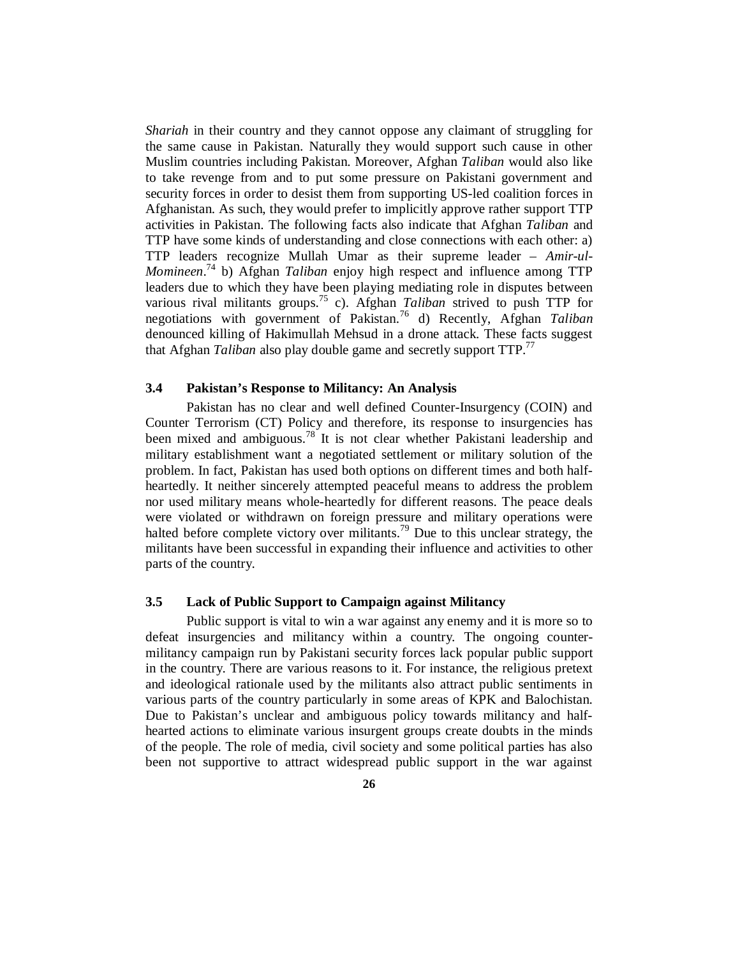*Shariah* in their country and they cannot oppose any claimant of struggling for the same cause in Pakistan. Naturally they would support such cause in other Muslim countries including Pakistan. Moreover, Afghan *Taliban* would also like to take revenge from and to put some pressure on Pakistani government and security forces in order to desist them from supporting US-led coalition forces in Afghanistan. As such, they would prefer to implicitly approve rather support TTP activities in Pakistan. The following facts also indicate that Afghan *Taliban* and TTP have some kinds of understanding and close connections with each other: a) TTP leaders recognize Mullah Umar as their supreme leader – *Amir-ul-Momineen*. <sup>74</sup> b) Afghan *Taliban* enjoy high respect and influence among TTP leaders due to which they have been playing mediating role in disputes between various rival militants groups. <sup>75</sup> c). Afghan *Taliban* strived to push TTP for negotiations with government of Pakistan.<sup>76</sup> d) Recently, Afghan *Taliban* denounced killing of Hakimullah Mehsud in a drone attack. These facts suggest that Afghan *Taliban* also play double game and secretly support TTP.<sup>77</sup>

#### **3.4 Pakistan's Response to Militancy: An Analysis**

Pakistan has no clear and well defined Counter-Insurgency (COIN) and Counter Terrorism (CT) Policy and therefore, its response to insurgencies has been mixed and ambiguous.<sup>78</sup> It is not clear whether Pakistani leadership and military establishment want a negotiated settlement or military solution of the problem. In fact, Pakistan has used both options on different times and both halfheartedly. It neither sincerely attempted peaceful means to address the problem nor used military means whole-heartedly for different reasons. The peace deals were violated or withdrawn on foreign pressure and military operations were halted before complete victory over militants.<sup>79</sup> Due to this unclear strategy, the militants have been successful in expanding their influence and activities to other parts of the country.

#### **3.5 Lack of Public Support to Campaign against Militancy**

Public support is vital to win a war against any enemy and it is more so to defeat insurgencies and militancy within a country. The ongoing countermilitancy campaign run by Pakistani security forces lack popular public support in the country. There are various reasons to it. For instance, the religious pretext and ideological rationale used by the militants also attract public sentiments in various parts of the country particularly in some areas of KPK and Balochistan. Due to Pakistan's unclear and ambiguous policy towards militancy and halfhearted actions to eliminate various insurgent groups create doubts in the minds of the people. The role of media, civil society and some political parties has also been not supportive to attract widespread public support in the war against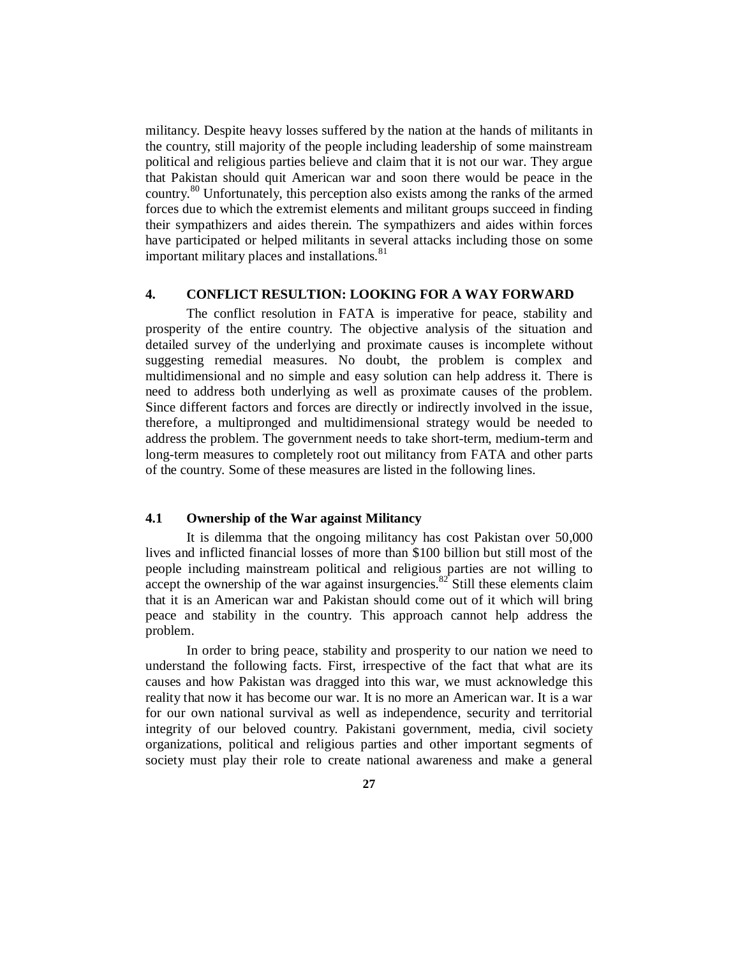militancy. Despite heavy losses suffered by the nation at the hands of militants in the country, still majority of the people including leadership of some mainstream political and religious parties believe and claim that it is not our war. They argue that Pakistan should quit American war and soon there would be peace in the country.<sup>80</sup> Unfortunately, this perception also exists among the ranks of the armed forces due to which the extremist elements and militant groups succeed in finding their sympathizers and aides therein. The sympathizers and aides within forces have participated or helped militants in several attacks including those on some important military places and installations.<sup>81</sup>

## **4. CONFLICT RESULTION: LOOKING FOR A WAY FORWARD**

The conflict resolution in FATA is imperative for peace, stability and prosperity of the entire country. The objective analysis of the situation and detailed survey of the underlying and proximate causes is incomplete without suggesting remedial measures. No doubt, the problem is complex and multidimensional and no simple and easy solution can help address it. There is need to address both underlying as well as proximate causes of the problem. Since different factors and forces are directly or indirectly involved in the issue, therefore, a multipronged and multidimensional strategy would be needed to address the problem. The government needs to take short-term, medium-term and long-term measures to completely root out militancy from FATA and other parts of the country. Some of these measures are listed in the following lines.

# **4.1 Ownership of the War against Militancy**

It is dilemma that the ongoing militancy has cost Pakistan over 50,000 lives and inflicted financial losses of more than \$100 billion but still most of the people including mainstream political and religious parties are not willing to accept the ownership of the war against insurgencies.<sup>82</sup> Still these elements claim that it is an American war and Pakistan should come out of it which will bring peace and stability in the country. This approach cannot help address the problem.

In order to bring peace, stability and prosperity to our nation we need to understand the following facts. First, irrespective of the fact that what are its causes and how Pakistan was dragged into this war, we must acknowledge this reality that now it has become our war. It is no more an American war. It is a war for our own national survival as well as independence, security and territorial integrity of our beloved country. Pakistani government, media, civil society organizations, political and religious parties and other important segments of society must play their role to create national awareness and make a general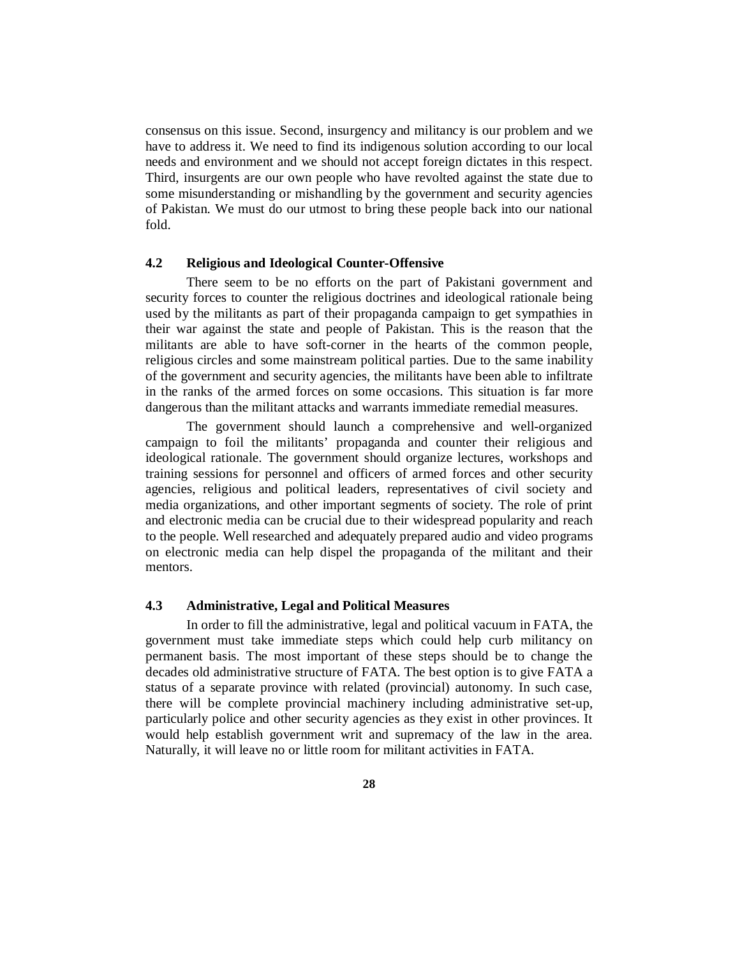consensus on this issue. Second, insurgency and militancy is our problem and we have to address it. We need to find its indigenous solution according to our local needs and environment and we should not accept foreign dictates in this respect. Third, insurgents are our own people who have revolted against the state due to some misunderstanding or mishandling by the government and security agencies of Pakistan. We must do our utmost to bring these people back into our national fold.

### **4.2 Religious and Ideological Counter-Offensive**

There seem to be no efforts on the part of Pakistani government and security forces to counter the religious doctrines and ideological rationale being used by the militants as part of their propaganda campaign to get sympathies in their war against the state and people of Pakistan. This is the reason that the militants are able to have soft-corner in the hearts of the common people, religious circles and some mainstream political parties. Due to the same inability of the government and security agencies, the militants have been able to infiltrate in the ranks of the armed forces on some occasions. This situation is far more dangerous than the militant attacks and warrants immediate remedial measures.

The government should launch a comprehensive and well-organized campaign to foil the militants' propaganda and counter their religious and ideological rationale. The government should organize lectures, workshops and training sessions for personnel and officers of armed forces and other security agencies, religious and political leaders, representatives of civil society and media organizations, and other important segments of society. The role of print and electronic media can be crucial due to their widespread popularity and reach to the people. Well researched and adequately prepared audio and video programs on electronic media can help dispel the propaganda of the militant and their mentors.

# **4.3 Administrative, Legal and Political Measures**

In order to fill the administrative, legal and political vacuum in FATA, the government must take immediate steps which could help curb militancy on permanent basis. The most important of these steps should be to change the decades old administrative structure of FATA. The best option is to give FATA a status of a separate province with related (provincial) autonomy. In such case, there will be complete provincial machinery including administrative set-up, particularly police and other security agencies as they exist in other provinces. It would help establish government writ and supremacy of the law in the area. Naturally, it will leave no or little room for militant activities in FATA.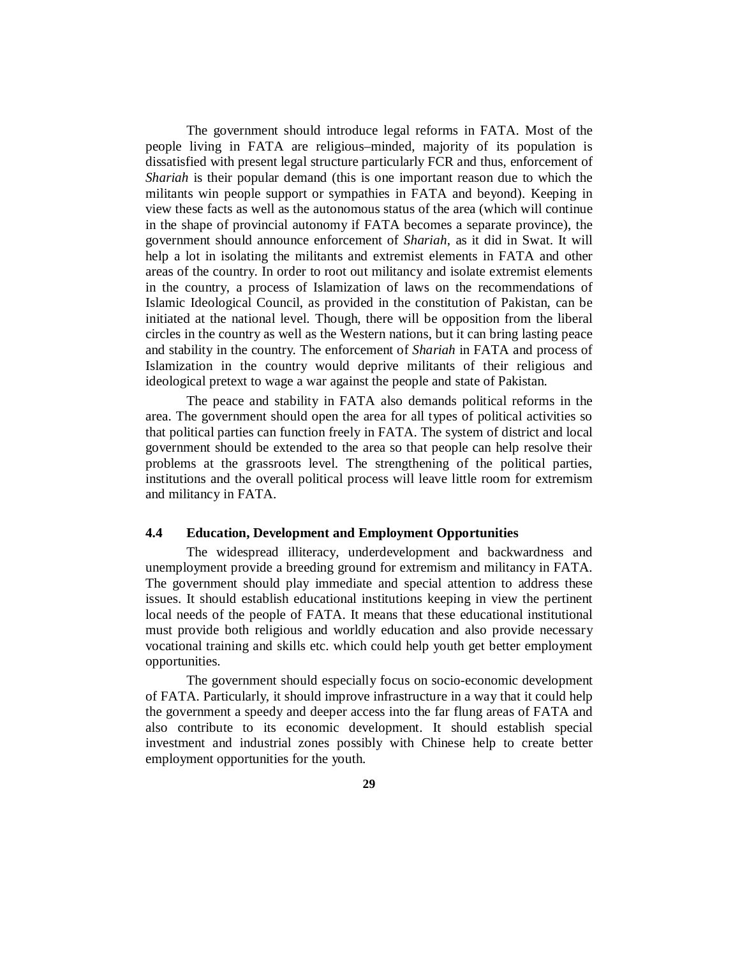The government should introduce legal reforms in FATA. Most of the people living in FATA are religious–minded, majority of its population is dissatisfied with present legal structure particularly FCR and thus, enforcement of *Shariah* is their popular demand (this is one important reason due to which the militants win people support or sympathies in FATA and beyond). Keeping in view these facts as well as the autonomous status of the area (which will continue in the shape of provincial autonomy if FATA becomes a separate province), the government should announce enforcement of *Shariah*, as it did in Swat. It will help a lot in isolating the militants and extremist elements in FATA and other areas of the country. In order to root out militancy and isolate extremist elements in the country, a process of Islamization of laws on the recommendations of Islamic Ideological Council, as provided in the constitution of Pakistan, can be initiated at the national level. Though, there will be opposition from the liberal circles in the country as well as the Western nations, but it can bring lasting peace and stability in the country. The enforcement of *Shariah* in FATA and process of Islamization in the country would deprive militants of their religious and ideological pretext to wage a war against the people and state of Pakistan.

The peace and stability in FATA also demands political reforms in the area. The government should open the area for all types of political activities so that political parties can function freely in FATA. The system of district and local government should be extended to the area so that people can help resolve their problems at the grassroots level. The strengthening of the political parties, institutions and the overall political process will leave little room for extremism and militancy in FATA.

### **4.4 Education, Development and Employment Opportunities**

The widespread illiteracy, underdevelopment and backwardness and unemployment provide a breeding ground for extremism and militancy in FATA. The government should play immediate and special attention to address these issues. It should establish educational institutions keeping in view the pertinent local needs of the people of FATA. It means that these educational institutional must provide both religious and worldly education and also provide necessary vocational training and skills etc. which could help youth get better employment opportunities.

The government should especially focus on socio-economic development of FATA. Particularly, it should improve infrastructure in a way that it could help the government a speedy and deeper access into the far flung areas of FATA and also contribute to its economic development. It should establish special investment and industrial zones possibly with Chinese help to create better employment opportunities for the youth.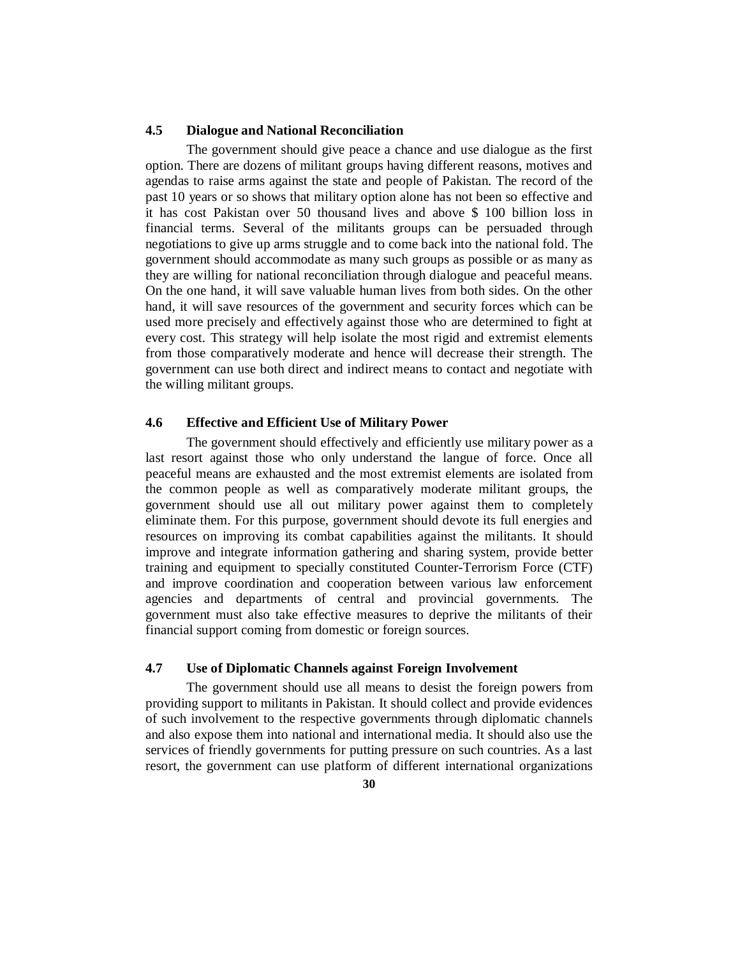# **4.5 Dialogue and National Reconciliation**

The government should give peace a chance and use dialogue as the first option. There are dozens of militant groups having different reasons, motives and agendas to raise arms against the state and people of Pakistan. The record of the past 10 years or so shows that military option alone has not been so effective and it has cost Pakistan over 50 thousand lives and above \$ 100 billion loss in financial terms. Several of the militants groups can be persuaded through negotiations to give up arms struggle and to come back into the national fold. The government should accommodate as many such groups as possible or as many as they are willing for national reconciliation through dialogue and peaceful means. On the one hand, it will save valuable human lives from both sides. On the other hand, it will save resources of the government and security forces which can be used more precisely and effectively against those who are determined to fight at every cost. This strategy will help isolate the most rigid and extremist elements from those comparatively moderate and hence will decrease their strength. The government can use both direct and indirect means to contact and negotiate with the willing militant groups.

#### **4.6 Effective and Efficient Use of Military Power**

The government should effectively and efficiently use military power as a last resort against those who only understand the langue of force. Once all peaceful means are exhausted and the most extremist elements are isolated from the common people as well as comparatively moderate militant groups, the government should use all out military power against them to completely eliminate them. For this purpose, government should devote its full energies and resources on improving its combat capabilities against the militants. It should improve and integrate information gathering and sharing system, provide better training and equipment to specially constituted Counter-Terrorism Force (CTF) and improve coordination and cooperation between various law enforcement agencies and departments of central and provincial governments. The government must also take effective measures to deprive the militants of their financial support coming from domestic or foreign sources.

### **4.7 Use of Diplomatic Channels against Foreign Involvement**

The government should use all means to desist the foreign powers from providing support to militants in Pakistan. It should collect and provide evidences of such involvement to the respective governments through diplomatic channels and also expose them into national and international media. It should also use the services of friendly governments for putting pressure on such countries. As a last resort, the government can use platform of different international organizations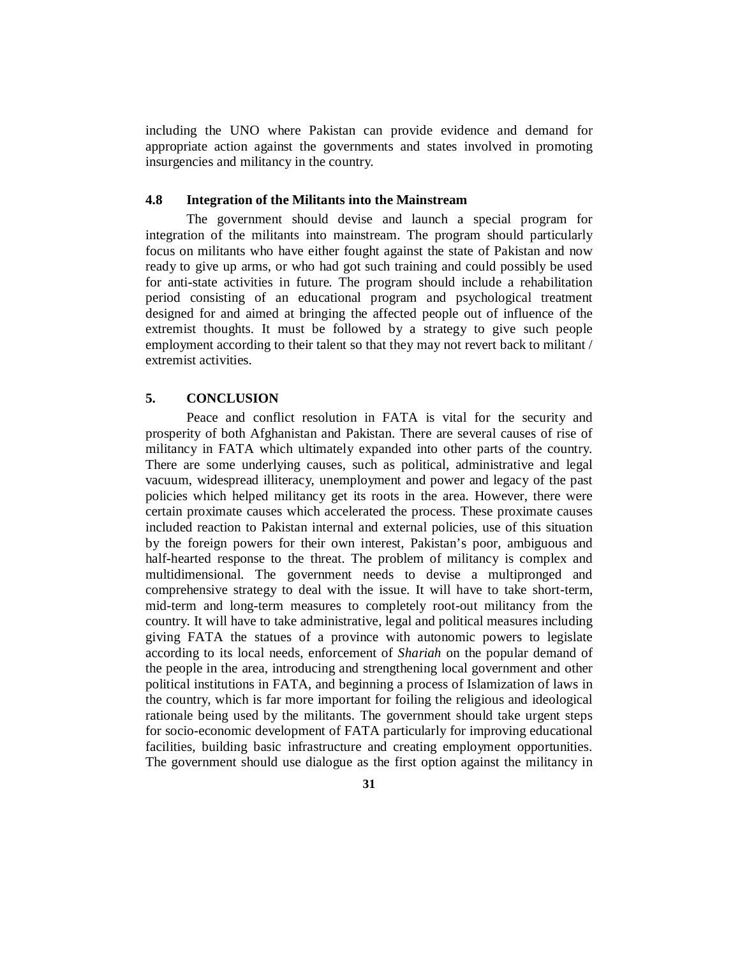including the UNO where Pakistan can provide evidence and demand for appropriate action against the governments and states involved in promoting insurgencies and militancy in the country.

## **4.8 Integration of the Militants into the Mainstream**

The government should devise and launch a special program for integration of the militants into mainstream. The program should particularly focus on militants who have either fought against the state of Pakistan and now ready to give up arms, or who had got such training and could possibly be used for anti-state activities in future. The program should include a rehabilitation period consisting of an educational program and psychological treatment designed for and aimed at bringing the affected people out of influence of the extremist thoughts. It must be followed by a strategy to give such people employment according to their talent so that they may not revert back to militant / extremist activities.

## **5. CONCLUSION**

Peace and conflict resolution in FATA is vital for the security and prosperity of both Afghanistan and Pakistan. There are several causes of rise of militancy in FATA which ultimately expanded into other parts of the country. There are some underlying causes, such as political, administrative and legal vacuum, widespread illiteracy, unemployment and power and legacy of the past policies which helped militancy get its roots in the area. However, there were certain proximate causes which accelerated the process. These proximate causes included reaction to Pakistan internal and external policies, use of this situation by the foreign powers for their own interest, Pakistan's poor, ambiguous and half-hearted response to the threat. The problem of militancy is complex and multidimensional. The government needs to devise a multipronged and comprehensive strategy to deal with the issue. It will have to take short-term, mid-term and long-term measures to completely root-out militancy from the country. It will have to take administrative, legal and political measures including giving FATA the statues of a province with autonomic powers to legislate according to its local needs, enforcement of *Shariah* on the popular demand of the people in the area, introducing and strengthening local government and other political institutions in FATA, and beginning a process of Islamization of laws in the country, which is far more important for foiling the religious and ideological rationale being used by the militants. The government should take urgent steps for socio-economic development of FATA particularly for improving educational facilities, building basic infrastructure and creating employment opportunities. The government should use dialogue as the first option against the militancy in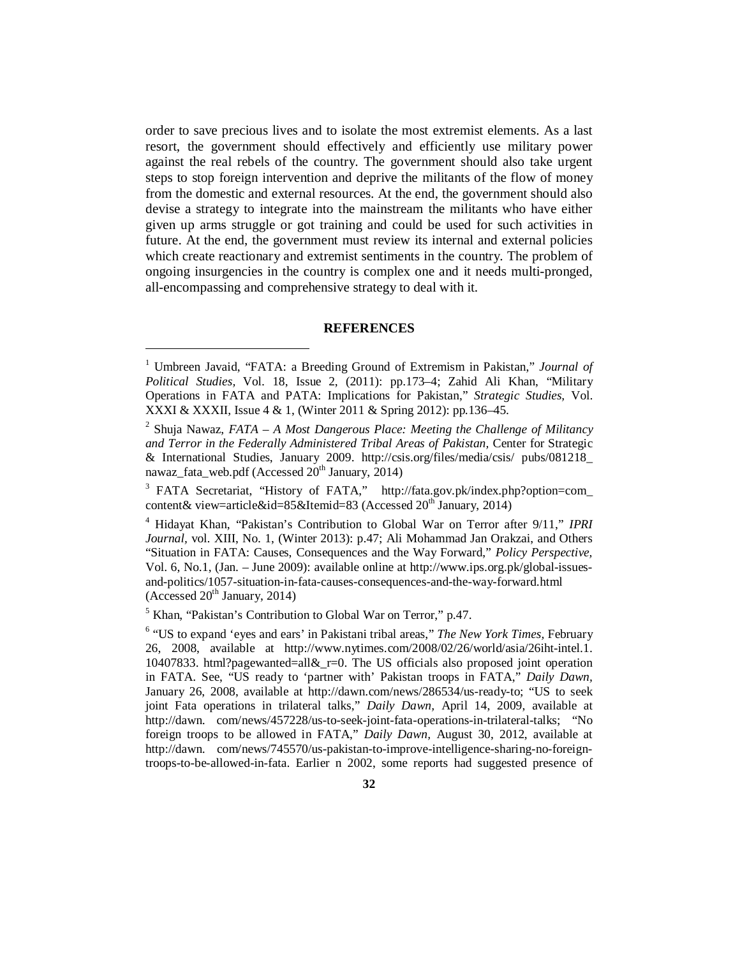order to save precious lives and to isolate the most extremist elements. As a last resort, the government should effectively and efficiently use military power against the real rebels of the country. The government should also take urgent steps to stop foreign intervention and deprive the militants of the flow of money from the domestic and external resources. At the end, the government should also devise a strategy to integrate into the mainstream the militants who have either given up arms struggle or got training and could be used for such activities in future. At the end, the government must review its internal and external policies which create reactionary and extremist sentiments in the country. The problem of ongoing insurgencies in the country is complex one and it needs multi-pronged, all-encompassing and comprehensive strategy to deal with it.

#### **REFERENCES**

<sup>5</sup> Khan, "Pakistan's Contribution to Global War on Terror," p.47.

 $\overline{a}$ 

<sup>&</sup>lt;sup>1</sup> Umbreen Javaid, "FATA: a Breeding Ground of Extremism in Pakistan," Journal of *Political Studies,* Vol. 18, Issue 2, (2011): pp.173–4; Zahid Ali Khan, "Military Operations in FATA and PATA: Implications for Pakistan," *Strategic Studies,* Vol. XXXI & XXXII, Issue 4 & 1, (Winter 2011 & Spring 2012): pp.136–45.

<sup>2</sup> Shuja Nawaz, *FATA – A Most Dangerous Place: Meeting the Challenge of Militancy and Terror in the Federally Administered Tribal Areas of Pakistan,* Center for Strategic & International Studies, January 2009. <http://csis.org/files/media/csis/> pubs/081218\_ nawaz fata\_web.pdf (Accessed  $20^{th}$  January, 2014)

<sup>&</sup>lt;sup>3</sup> FATA Secretariat, "History of FATA," [http://fata.gov.pk/index.php?option=com\\_](http://fata.gov.pk/index.php?option=com_) content& view=article&id=85&Itemid=83 (Accessed  $20<sup>th</sup>$  January, 2014)

<sup>4</sup> Hidayat Khan, "Pakistan's Contribution to Global War on Terror after 9/11," *IPRI Journal,* vol. XIII, No. 1, (Winter 2013): p.47; Ali Mohammad Jan Orakzai, and Others "Situation in FATA: Causes, Consequences and the Way Forward," *Policy Perspective,*  Vol. 6, No.1, (Jan. – June 2009): available online at [http://www.ips.org.pk/global-issues](http://www.ips.org.pk/global-issues-)and-politics/1057-situation-in-fata-causes-consequences-and-the-way-forward.html (Accessed  $20<sup>th</sup>$  January, 2014)

<sup>&</sup>lt;sup>6</sup> "US to expand 'eyes and ears' in Pakistani tribal areas," The New York Times, February 26, 2008, available at <http://www.nytimes.com/2008/02/26/world/asia/26iht-intel.1.> 10407833. html?pagewanted=all&\_r=0. The US officials also proposed joint operation in FATA. See, "US ready to 'partner with' Pakistan troops in FATA," *Daily Dawn,*  January 26, 2008, available at <http://dawn.com/news/286534/us-ready-to;> "US to seek joint Fata operations in trilateral talks," *Daily Dawn,* April 14, 2009, available at <http://dawn.> com/news/457228/us-to-seek-joint-fata-operations-in-trilateral-talks; "No foreign troops to be allowed in FATA," *Daily Dawn,* August 30, 2012, available at <http://dawn.> com/news/745570/us-pakistan-to-improve-intelligence-sharing-no-foreigntroops-to-be-allowed-in-fata. Earlier n 2002, some reports had suggested presence of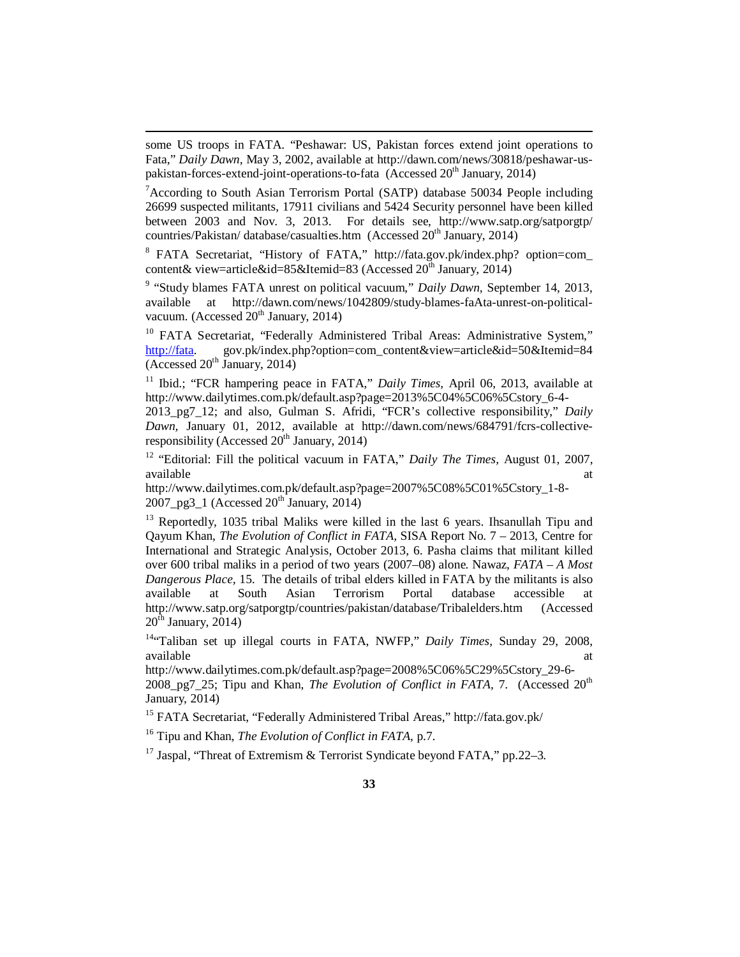some US troops in FATA. "Peshawar: US, Pakistan forces extend joint operations to Fata," *Daily Dawn,* May 3, 2002, available at [http://dawn.com/news/30818/peshawar-us](http://dawn.com/news/30818/peshawar-us-)pakistan-forces-extend-joint-operations-to-fata (Accessed 20<sup>th</sup> January, 2014)

 $\overline{a}$ 

 ${}^{7}$ According to South Asian Terrorism Portal (SATP) database 50034 People including 26699 suspected militants, 17911 civilians and 5424 Security personnel have been killed between 2003 and Nov. 3, 2013. For details see, <http://www.satp.org/satporgtp/> countries/Pakistan/ database/casualties.htm (Accessed  $20<sup>th</sup>$  January, 2014)

8 FATA Secretariat, "History of FATA," <http://fata.gov.pk/index.php?> option=com\_ content& view=article&id=85&Itemid=83 (Accessed  $20^{th}$  January, 2014)

<sup>9</sup> "Study blames FATA unrest on political vacuum," Daily Dawn, September 14, 2013, available at [http://dawn.com/news/1042809/study-blames-faAta-unrest-on-political](http://dawn.com/news/1042809/study-blames-faAta-unrest-on-political-)vacuum. (Accessed  $20<sup>th</sup>$  January, 2014)

<sup>10</sup> FATA Secretariat, 'Federally Administered Tribal Areas: Administrative System," <http://fata.> gov.pk/index.php?option=com\_content&view=article&id=50&Itemid=84  $\overline{(\text{Accessed } 20^{\text{th}} \text{ January, } 2014)}$ 

<sup>11</sup> Ibid.; "FCR hampering peace in FATA," *Daily Times*, April 06, 2013, available at [http://www.dailytimes.com.pk/default.asp?page=2013%5C04%5C06%5Cstory\\_6-4-](http://www.dailytimes.com.pk/default.asp?page=2013%5C04%5C06%5Cstory_6-4-) 2013\_pg7\_12; and also, Gulman S. Afridi, "FCR's collective responsibility," *Daily Dawn,* January 01, 2012, available at [http://dawn.com/news/684791/fcrs-collective](http://dawn.com/news/684791/fcrs-collective-)responsibility (Accessed  $20<sup>th</sup>$  January, 2014)

<sup>12</sup> "Editorial: Fill the political vacuum in FATA," *Daily The Times,* August 01, 2007, available at the contract of the contract of the contract of the contract of the contract of the contract of the contract of the contract of the contract of the contract of the contract of the contract of the contract of t

[http://www.dailytimes.com.pk/default.asp?page=2007%5C08%5C01%5Cstory\\_1-8-](http://www.dailytimes.com.pk/default.asp?page=2007%5C08%5C01%5Cstory_1-8-) 2007 pg3  $\frac{1}{2}$  (Accessed 20<sup>th</sup> January, 2014)

 $13$  Reportedly, 1035 tribal Maliks were killed in the last 6 years. Ihsanullah Tipu and Qayum Khan, *The Evolution of Conflict in FATA,* SISA Report No. 7 – 2013, Centre for International and Strategic Analysis, October 2013, 6. Pasha claims that militant killed over 600 tribal maliks in a period of two years (2007–08) alone. Nawaz, *FATA – A Most Dangerous Place,* 15. The details of tribal elders killed in FATA by the militants is also available at South Asian Terrorism Portal database accessible at <http://www.satp.org/satporgtp/countries/pakistan/database/Tribalelders.htm>(Accessed  $20<sup>th</sup>$  January, 2014)

<sup>14"</sup>Taliban set up illegal courts in FATA, NWFP," *Daily Times*, Sunday 29, 2008, available at a state of  $\alpha$  at a state of  $\alpha$  at a state of  $\alpha$  at a state of  $\alpha$  at a state of  $\alpha$  at a state of  $\alpha$  at a state of  $\alpha$  at a state of  $\alpha$  at a state of  $\alpha$  at a state of  $\alpha$  at a state of  $\alpha$  at

[http://www.dailytimes.com.pk/default.asp?page=2008%5C06%5C29%5Cstory\\_29-6-](http://www.dailytimes.com.pk/default.asp?page=2008%5C06%5C29%5Cstory_29-6-) 2008\_pg7\_25; Tipu and Khan, *The Evolution of Conflict in FATA*, 7. (Accessed 20<sup>th</sup> January, 2014)

<sup>15</sup> FATA Secretariat, "Federally Administered Tribal Areas," <http://fata.gov.pk/>

<sup>16</sup> Tipu and Khan, *The Evolution of Conflict in FATA,* p.7.

<sup>17</sup> Jaspal, "Threat of Extremism & Terrorist Syndicate beyond FATA," pp. 22–3.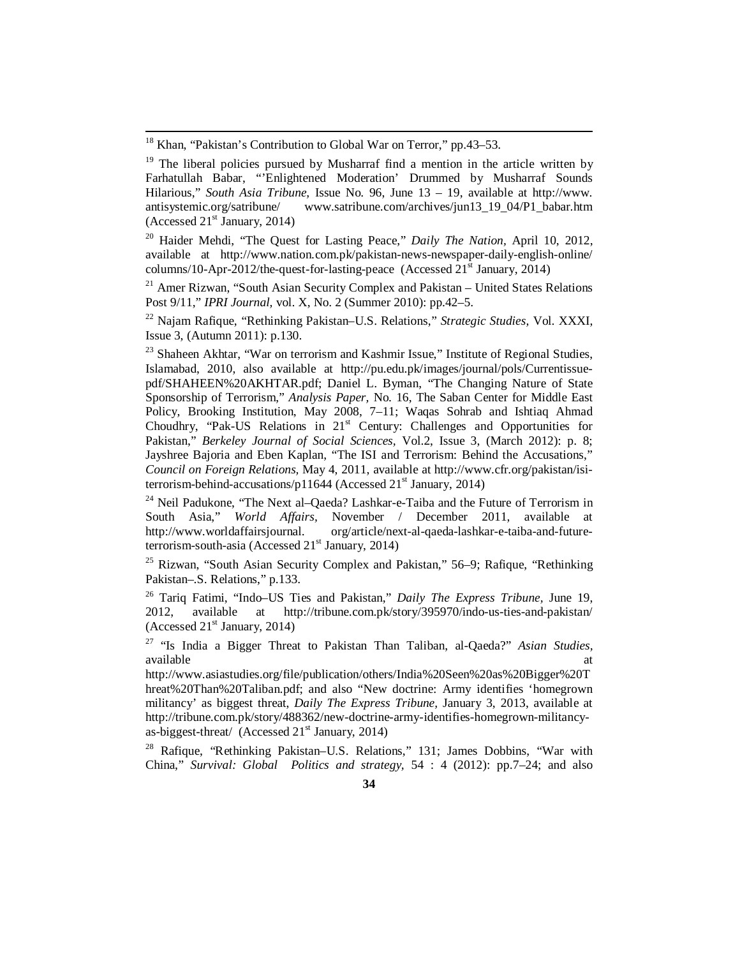$\overline{a}$ 

<sup>20</sup> Haider Mehdi, "The Quest for Lasting Peace," *Daily The Nation,* April 10, 2012, available at <http://www.nation.com.pk/pakistan-news-newspaper-daily-english-online/> columns/10-Apr-2012/the-quest-for-lasting-peace (Accessed  $21^{st}$  January, 2014)

 $21$  Amer Rizwan, "South Asian Security Complex and Pakistan – United States Relations Post 9/11," *IPRI Journal,* vol. X, No. 2 (Summer 2010): pp.42–5.

<sup>22</sup> Najam Rafique, "Rethinking Pakistan–U.S. Relations," *Strategic Studies,* Vol. XXXI, Issue 3, (Autumn 2011): p.130.

<sup>23</sup> Shaheen Akhtar, "War on terrorism and Kashmir Issue," Institute of Regional Studies, Islamabad, 2010, also available at [http://pu.edu.pk/images/journal/pols/Currentissue](http://pu.edu.pk/images/journal/pols/Currentissue-)pdf/SHAHEEN%20AKHTAR.pdf; Daniel L. Byman, "The Changing Nature of State Sponsorship of Terrorism," *Analysis Paper,* No. 16, The Saban Center for Middle East Policy, Brooking Institution, May 2008, 7–11; Waqas Sohrab and Ishtiaq Ahmad Choudhry, "Pak-US Relations in 21<sup>st</sup> Century: Challenges and Opportunities for Pakistan," *Berkeley Journal of Social Sciences,* Vol.2, Issue 3, (March 2012): p. 8; Jayshree Bajoria and Eben Kaplan, "The ISI and Terrorism: Behind the Accusations," *Council on Foreign Relations,* May 4, 2011, available at [http://www.cfr.org/pakistan/isi](http://www.cfr.org/pakistan/isi-)terrorism-behind-accusations/p11644 (Accessed  $21<sup>st</sup>$  January, 2014)

<sup>24</sup> Neil Padukone, "The Next al–Qaeda? Lashkar-e-Taiba and the Future of Terrorism in South Asia," *World Affairs,* November / December 2011, available at <http://www.worldaffairsjournal.> org/article/next-al-qaeda-lashkar-e-taiba-and-futureterrorism-south-asia (Accessed  $21<sup>st</sup>$  January, 2014)

<sup>25</sup> Rizwan, "South Asian Security Complex and Pakistan," 56–9; Rafique, "Rethinking Pakistan–.S. Relations," p.133.

<sup>26</sup> Tariq Fatimi, "Indo–US Ties and Pakistan," *Daily The Express Tribune,* June 19, 2012, available at <http://tribune.com.pk/story/395970/indo-us-ties-and-pakistan/> (Accessed  $21<sup>st</sup>$  January, 2014)

<sup>27</sup> "Is India a Bigger Threat to Pakistan Than Taliban, al-Qaeda?" *Asian Studies,*  available at a state of  $\alpha$  at a state of  $\alpha$  at a state of  $\alpha$  at a state of  $\alpha$  at a state of  $\alpha$  at a state of  $\alpha$  at a state of  $\alpha$  at a state of  $\alpha$  at a state of  $\alpha$  at a state of  $\alpha$  at a state of  $\alpha$  at

<http://www.asiastudies.org/file/publication/others/India%20Seen%20as%20Bigger%20T> hreat%20Than%20Taliban.pdf; and also "New doctrine: Army identifies 'homegrown militancy' as biggest threat, *Daily The Express Tribune,* January 3, 2013, available at [http://tribune.com.pk/story/488362/new-doctrine-army-identifies-homegrown-militancy](http://tribune.com.pk/story/488362/new-doctrine-army-identifies-homegrown-militancy-)as-biggest-threat/ (Accessed  $21<sup>st</sup>$  January, 2014)

<sup>28</sup> Rafique, "Rethinking Pakistan–U.S. Relations," 131; James Dobbins, "War with China," *Survival: Global Politics and strategy,* 54 : 4 (2012): pp.7–24; and also

<sup>&</sup>lt;sup>18</sup> Khan, "Pakistan's Contribution to Global War on Terror," pp.43-53.

<sup>&</sup>lt;sup>19</sup> The liberal policies pursued by Musharraf find a mention in the article written by Farhatullah Babar, "'Enlightened Moderation' Drummed by Musharraf Sounds Hilarious," *South Asia Tribune,* Issue No. 96, June 13 – 19, available at <http://www.> antisystemic.org/satribune/ [www.satribune.com/archives/jun13\\_19\\_04/P1\\_babar.htm](http://www.satribune.com/archives/jun13_19_04/P1_babar.htm)  (Accessed  $21<sup>st</sup>$  January, 2014)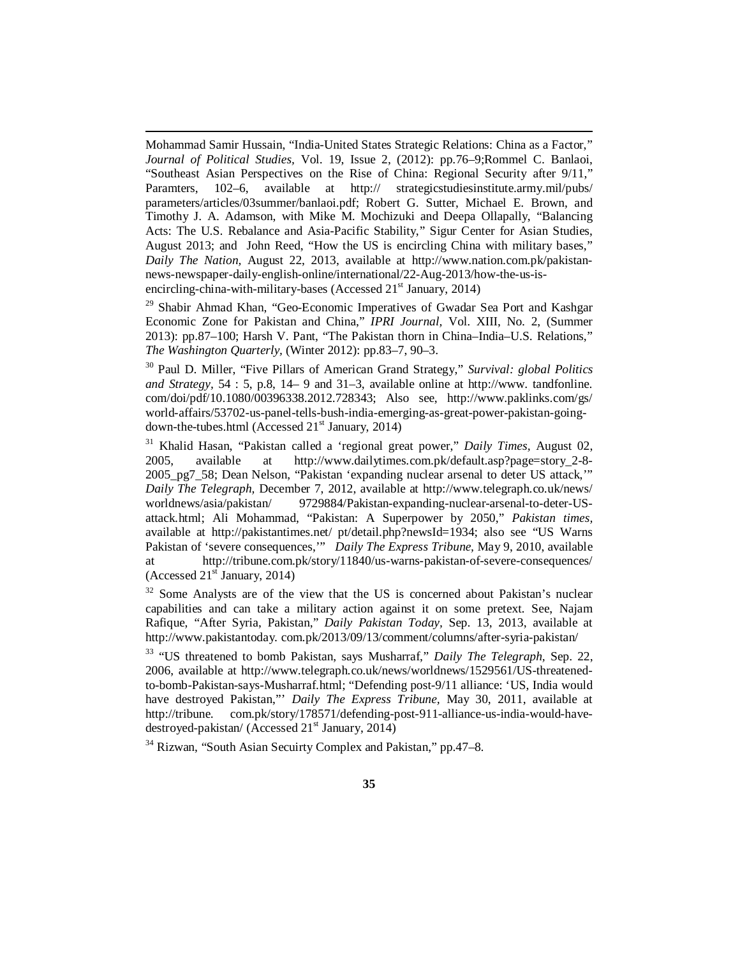Mohammad Samir Hussain, "India-United States Strategic Relations: China as a Factor," *Journal of Political Studies,* Vol. 19, Issue 2, (2012): pp.76–9;Rommel C. Banlaoi, "Southeast Asian Perspectives on the Rise of China: Regional Security after 9/11," Paramters, 102–6, available at <http://> strategicstudiesinstitute.army.mil/pubs/ parameters/articles/03summer/banlaoi.pdf; Robert G. Sutter, Michael E. Brown, and Timothy J. A. Adamson, with Mike M. Mochizuki and Deepa Ollapally, "Balancing Acts: The U.S. Rebalance and Asia-Pacific Stability," Sigur Center for Asian Studies, August 2013; and John Reed, "How the US is encircling China with military bases," *Daily The Nation,* August 22, 2013, available at [http://www.nation.com.pk/pakistan](http://www.nation.com.pk/pakistan-)news-newspaper-daily-english-online/international/22-Aug-2013/how-the-us-isencircling-china-with-military-bases (Accessed  $21<sup>st</sup>$  January, 2014)

 $\overline{a}$ 

<sup>29</sup> Shabir Ahmad Khan, "Geo-Economic Imperatives of Gwadar Sea Port and Kashgar Economic Zone for Pakistan and China," *IPRI Journal,* Vol. XIII, No. 2, (Summer 2013): pp.87–100; Harsh V. Pant, "The Pakistan thorn in China–India–U.S. Relations," *The Washington Quarterly,* (Winter 2012): pp.83–7, 90–3.

<sup>30</sup> Paul D. Miller, "Five Pillars of American Grand Strategy," *Survival: global Politics and Strategy,* 54 : 5, p.8, 14– 9 and 31–3, available online at <http://www.> tandfonline. com/doi/pdf/10.1080/00396338.2012.728343; Also see, <http://www.paklinks.com/gs/> world-affairs/53702-us-panel-tells-bush-india-emerging-as-great-power-pakistan-goingdown-the-tubes.html (Accessed  $21<sup>st</sup>$  January, 2014)

<sup>31</sup> Khalid Hasan, "Pakistan called a 'regional great power," *Daily Times,* August 02, 2005, available at [http://www.dailytimes.com.pk/default.asp?page=story\\_2-8-](http://www.dailytimes.com.pk/default.asp?page=story_2-8-) 2005\_pg7\_58; Dean Nelson, "Pakistan 'expanding nuclear arsenal to deter US attack,'" *Daily The Telegraph,* December 7, 2012, available at <http://www.telegraph.co.uk/news/> worldnews/asia/pakistan/ 9729884/Pakistan-expanding-nuclear-arsenal-to-deter-USattack.html; Ali Mohammad, "Pakistan: A Superpower by 2050," *Pakistan times,*  available at <http://pakistantimes.net/> pt/detail.php?newsId=1934; also see "US Warns Pakistan of 'severe consequences,'" *Daily The Express Tribune,* May 9, 2010, available at <http://tribune.com.pk/story/11840/us-warns-pakistan-of-severe-consequences/> (Accessed  $21<sup>st</sup>$  January, 2014)

 $32$  Some Analysts are of the view that the US is concerned about Pakistan's nuclear capabilities and can take a military action against it on some pretext. See, Najam Rafique, "After Syria, Pakistan," *Daily Pakistan Today,* Sep. 13, 2013, available at <http://www.pakistantoday.> com.pk/2013/09/13/comment/columns/after-syria-pakistan/

<sup>33</sup> "US threatened to bomb Pakistan, says Musharraf," *Daily The Telegraph,* Sep. 22, 2006, available at [http://www.telegraph.co.uk/news/worldnews/1529561/US-threatened](http://www.telegraph.co.uk/news/worldnews/1529561/US-threatened-)to-bomb-Pakistan-says-Musharraf.html; "Defending post-9/11 alliance: 'US, India would have destroyed Pakistan,"' *Daily The Express Tribune,* May 30, 2011, available at <http://tribune.> com.pk/story/178571/defending-post-911-alliance-us-india-would-havedestroyed-pakistan/ (Accessed  $21<sup>st</sup>$  January, 2014)

<sup>34</sup> Rizwan, "South Asian Secuirty Complex and Pakistan," pp.47–8.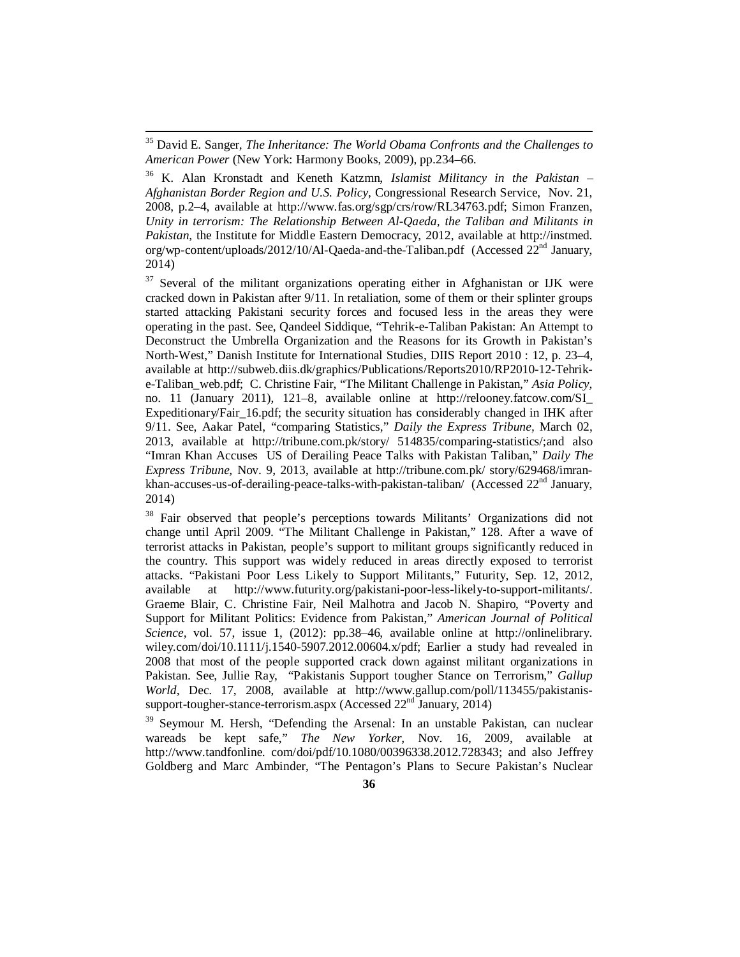$\overline{a}$ 

<sup>38</sup> Fair observed that people's perceptions towards Militants' Organizations did not change until April 2009. "The Militant Challenge in Pakistan," 128. After a wave of terrorist attacks in Pakistan, people's support to militant groups significantly reduced in the country. This support was widely reduced in areas directly exposed to terrorist attacks. "Pakistani Poor Less Likely to Support Militants," Futurity, Sep. 12, 2012, available at <http://www.futurity.org/pakistani-poor-less-likely-to-support-militants/.> Graeme Blair, C. Christine Fair, Neil Malhotra and Jacob N. Shapiro, "Poverty and Support for Militant Politics: Evidence from Pakistan," *American Journal of Political Science,* vol. 57, issue 1, (2012): pp.38–46, available online at <http://onlinelibrary.> wiley.com/doi/10.1111/j.1540-5907.2012.00604.x/pdf; Earlier a study had revealed in 2008 that most of the people supported crack down against militant organizations in Pakistan. See, Jullie Ray, "Pakistanis Support tougher Stance on Terrorism," *Gallup World,* Dec. 17, 2008, available at [http://www.gallup.com/poll/113455/pakistanis](http://www.gallup.com/poll/113455/pakistanis-)support-tougher-stance-terrorism.aspx (Accessed 22<sup>nd</sup> January, 2014)

<sup>39</sup> Seymour M. Hersh, "Defending the Arsenal: In an unstable Pakistan, can nuclear wareads be kept safe," *The New Yorker,* Nov. 16, 2009, available at <http://www.tandfonline.> com/doi/pdf/10.1080/00396338.2012.728343; and also Jeffrey Goldberg and Marc Ambinder, "The Pentagon's Plans to Secure Pakistan's Nuclear

<sup>35</sup> David E. Sanger, *The Inheritance: The World Obama Confronts and the Challenges to American Power* (New York: Harmony Books, 2009), pp.234–66.

<sup>36</sup> K. Alan Kronstadt and Keneth Katzmn, *Islamist Militancy in the Pakistan – Afghanistan Border Region and U.S. Policy,* Congressional Research Service, Nov. 21, 2008, p.2–4, available at <http://www.fas.org/sgp/crs/row/RL34763.pdf;>Simon Franzen, *Unity in terrorism: The Relationship Between Al-Qaeda, the Taliban and Militants in Pakistan,* the Institute for Middle Eastern Democracy, 2012, available at <http://instmed.> org/wp-content/uploads/2012/10/Al-Qaeda-and-the-Taliban.pdf (Accessed 22<sup>nd</sup> January, 2014)

 $37$  Several of the militant organizations operating either in Afghanistan or IJK were cracked down in Pakistan after 9/11. In retaliation, some of them or their splinter groups started attacking Pakistani security forces and focused less in the areas they were operating in the past. See, Qandeel Siddique, "Tehrik-e-Taliban Pakistan: An Attempt to Deconstruct the Umbrella Organization and the Reasons for its Growth in Pakistan's North-West," Danish Institute for International Studies, DIIS Report 2010 : 12, p. 23–4, available at [http://subweb.diis.dk/graphics/Publications/Reports2010/RP2010-12-Tehrik](http://subweb.diis.dk/graphics/Publications/Reports2010/RP2010-12-Tehrik-)e-Taliban\_web.pdf; C. Christine Fair, "The Militant Challenge in Pakistan," *Asia Policy,*  no. 11 (January 2011), 121–8, available online at [http://relooney.fatcow.com/SI\\_](http://relooney.fatcow.com/SI_) Expeditionary/Fair\_16.pdf; the security situation has considerably changed in IHK after 9/11. See, Aakar Patel, "comparing Statistics," *Daily the Express Tribune,* March 02, 2013, available at <http://tribune.com.pk/story/> 514835/comparing-statistics/;and also "Imran Khan Accuses US of Derailing Peace Talks with Pakistan Taliban," *Daily The Express Tribune,* Nov. 9, 2013, available at <http://tribune.com.pk/> story/629468/imrankhan-accuses-us-of-derailing-peace-talks-with-pakistan-taliban/ (Accessed 22<sup>nd</sup> January, 2014)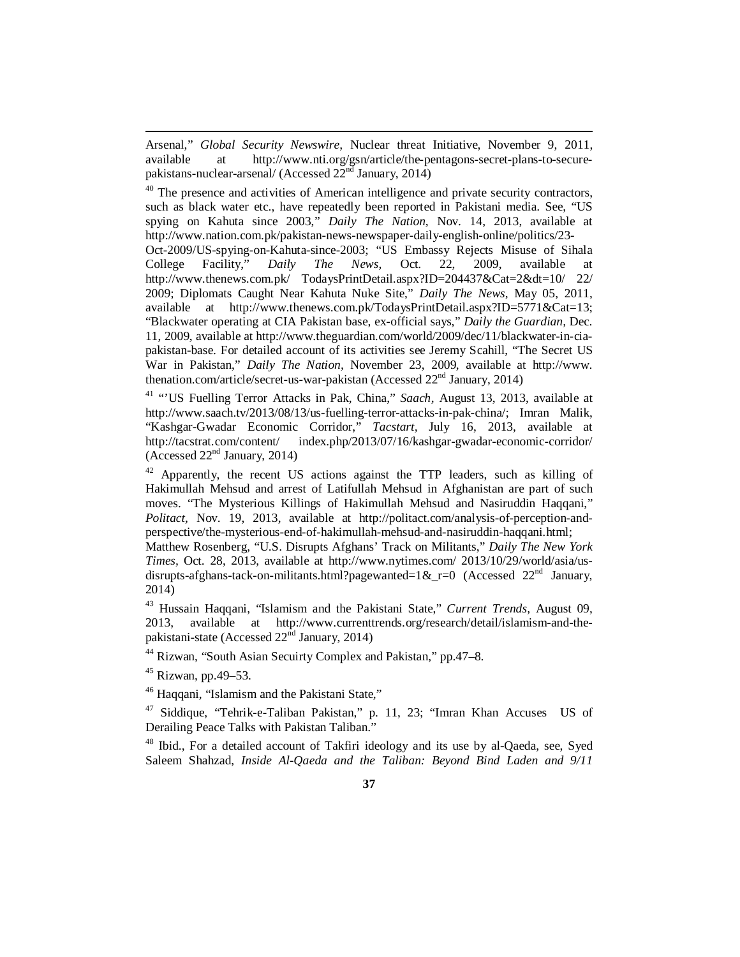Arsenal," *Global Security Newswire,* Nuclear threat Initiative, November 9, 2011, available at [http://www.nti.org/gsn/article/the-pentagons-secret-plans-to-secure](http://www.nti.org/gsn/article/the-pentagons-secret-plans-to-secure-)pakistans-nuclear-arsenal/ (Accessed  $22<sup>nd</sup>$  January, 2014)

 $40$  The presence and activities of American intelligence and private security contractors, such as black water etc., have repeatedly been reported in Pakistani media. See, "US spying on Kahuta since 2003," *Daily The Nation,* Nov. 14, 2013, available at <http://www.nation.com.pk/pakistan-news-newspaper-daily-english-online/politics/23-> Oct-2009/US-spying-on-Kahuta-since-2003; "US Embassy Rejects Misuse of Sihala College Facility," *Daily The News,* Oct. 22, 2009, available at <http://www.thenews.com.pk/> TodaysPrintDetail.aspx?ID=204437&Cat=2&dt=10/ 22/ 2009; Diplomats Caught Near Kahuta Nuke Site," *Daily The News,* May 05, 2011, available at <http://www.thenews.com.pk/TodaysPrintDetail.aspx?ID=5771&Cat=13;> "Blackwater operating at CIA Pakistan base, ex-official says," *Daily the Guardian,* Dec. 11, 2009, available at [http://www.theguardian.com/world/2009/dec/11/blackwater-in-cia](http://www.theguardian.com/world/2009/dec/11/blackwater-in-cia-)pakistan-base. For detailed account of its activities see Jeremy Scahill, "The Secret US War in Pakistan," *Daily The Nation,* November 23, 2009, available at <http://www.> thenation.com/article/secret-us-war-pakistan (Accessed  $22<sup>nd</sup>$  January, 2014)

<sup>41</sup> "'US Fuelling Terror Attacks in Pak, China," *Saach,* August 13, 2013, available at <http://www.saach.tv/2013/08/13/us-fuelling-terror-attacks-in-pak-china/;> Imran Malik, "Kashgar-Gwadar Economic Corridor," *Tacstart*, July 16, 2013, available at http://tacstrat.com/content/ index.php/2013/07/16/kashgar-gwadar-economic-corridor/ index.php/2013/07/16/kashgar-gwadar-economic-corridor/ (Accessed  $22<sup>nd</sup>$  January, 2014)

 $42$  Apparently, the recent US actions against the TTP leaders, such as killing of Hakimullah Mehsud and arrest of Latifullah Mehsud in Afghanistan are part of such moves. "The Mysterious Killings of Hakimullah Mehsud and Nasiruddin Haqqani," *Politact,* Nov. 19, 2013, available at [http://politact.com/analysis-of-perception-and](http://politact.com/analysis-of-perception-and-)perspective/the-mysterious-end-of-hakimullah-mehsud-and-nasiruddin-haqqani.html;

Matthew Rosenberg, "U.S. Disrupts Afghans' Track on Militants," *Daily The New York Times,* Oct. 28, 2013, available at <http://www.nytimes.com/> 2013/10/29/world/asia/usdisrupts-afghans-tack-on-militants.html?pagewanted=1& r=0 (Accessed  $22<sup>nd</sup>$  January, 2014)

<sup>43</sup> Hussain Haqqani, "Islamism and the Pakistani State," *Current Trends,* August 09, 2013, available at [http://www.currenttrends.org/research/detail/islamism-and-the](http://www.currenttrends.org/research/detail/islamism-and-the-)pakistani-state (Accessed  $22<sup>nd</sup>$  January, 2014)

<sup>44</sup> Rizwan, "South Asian Secuirty Complex and Pakistan," pp.47–8.

 $45$  Rizwan, pp.49–53.

 $\overline{a}$ 

<sup>46</sup> Haqqani, "Islamism and the Pakistani State,"

<sup>47</sup> Siddique, "Tehrik-e-Taliban Pakistan," p. 11, 23; "Imran Khan Accuses US of Derailing Peace Talks with Pakistan Taliban."

<sup>48</sup> Ibid., For a detailed account of Takfiri ideology and its use by al-Qaeda, see, Syed Saleem Shahzad, *Inside Al-Qaeda and the Taliban: Beyond Bind Laden and 9/11*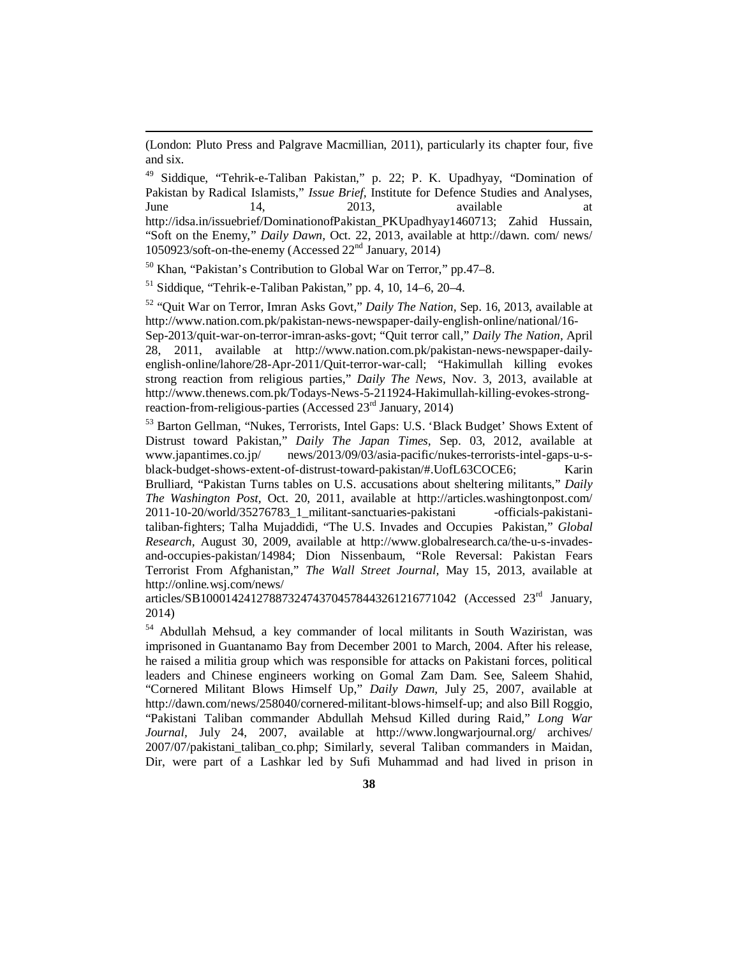(London: Pluto Press and Palgrave Macmillian, 2011), particularly its chapter four, five and six.

<sup>49</sup> Siddique, "Tehrik-e-Taliban Pakistan," p. 22; P. K. Upadhyay, "Domination of Pakistan by Radical Islamists," *Issue Brief,* Institute for Defence Studies and Analyses, June 14, 2013, available at [http://idsa.in/issuebrief/DominationofPakistan\\_PKUpadhyay1460713;](http://idsa.in/issuebrief/DominationofPakistan_PKUpadhyay1460713;) Zahid Hussain, "Soft on the Enemy," *Daily Dawn,* Oct. 22, 2013, available at <http://dawn.> com/ news/ 1050923/soft-on-the-enemy (Accessed 22<sup>nd</sup> January, 2014)

 $50$  Khan. "Pakistan's Contribution to Global War on Terror," pp. 47–8.

 $<sup>51</sup>$  Siddique, "Tehrik-e-Taliban Pakistan," pp. 4, 10, 14–6, 20–4.</sup>

 $\overline{a}$ 

<sup>52</sup> "Quit War on Terror, Imran Asks Govt," *Daily The Nation,* Sep. 16, 2013, available at <http://www.nation.com.pk/pakistan-news-newspaper-daily-english-online/national/16->

Sep-2013/quit-war-on-terror-imran-asks-govt; "Quit terror call," *Daily The Nation,* April 28, 2011, available at [http://www.nation.com.pk/pakistan-news-newspaper-daily](http://www.nation.com.pk/pakistan-news-newspaper-daily-)english-online/lahore/28-Apr-2011/Quit-terror-war-call; "Hakimullah killing evokes strong reaction from religious parties," *Daily The News,* Nov. 3, 2013, available at [http://www.thenews.com.pk/Todays-News-5-211924-Hakimullah-killing-evokes-strong](http://www.thenews.com.pk/Todays-News-5-211924-Hakimullah-killing-evokes-strong-)reaction-from-religious-parties (Accessed 23<sup>rd</sup> January, 2014)

<sup>53</sup> Barton Gellman, "Nukes, Terrorists, Intel Gaps: U.S. 'Black Budget' Shows Extent of Distrust toward Pakistan," *Daily The Japan Times,* Sep. 03, 2012, available at [www.japantimes.co.jp/](http://www.japantimes.co.jp/) news/2013/09/03/asia-pacific/nukes-terrorists-intel-gaps-u-sblack-budget-shows-extent-of-distrust-toward-pakistan/#.UofL63COCE6; Karin Brulliard, "Pakistan Turns tables on U.S. accusations about sheltering militants," *Daily The Washington Post,* Oct. 20, 2011, available at <http://articles.washingtonpost.com/> 2011-10-20/world/35276783\_1\_militant-sanctuaries-pakistani -officials-pakistanitaliban-fighters; Talha Mujaddidi, "The U.S. Invades and Occupies Pakistan," *Global Research,* August 30, 2009, available at [http://www.globalresearch.ca/the-u-s-invades](http://www.globalresearch.ca/the-u-s-invades-)and-occupies-pakistan/14984; Dion Nissenbaum, "Role Reversal: Pakistan Fears Terrorist From Afghanistan," *The Wall Street Journal,* May 15, 2013, available at <http://online.wsj.com/news/>

articles/SB10001424127887324743704578443261216771042 (Accessed 23rd January, 2014)

<sup>54</sup> Abdullah Mehsud, a key commander of local militants in South Waziristan, was imprisoned in Guantanamo Bay from December 2001 to March, 2004. After his release, he raised a militia group which was responsible for attacks on Pakistani forces, political leaders and Chinese engineers working on Gomal Zam Dam. See, Saleem Shahid, "Cornered Militant Blows Himself Up," *Daily Dawn,* July 25, 2007, available at <http://dawn.com/news/258040/cornered-militant-blows-himself-up;>and also Bill Roggio, "Pakistani Taliban commander Abdullah Mehsud Killed during Raid," *Long War Journal,* July 24, 2007, available at <http://www.longwarjournal.org/> archives/ 2007/07/pakistani\_taliban\_co.php; Similarly, several Taliban commanders in Maidan, Dir, were part of a Lashkar led by Sufi Muhammad and had lived in prison in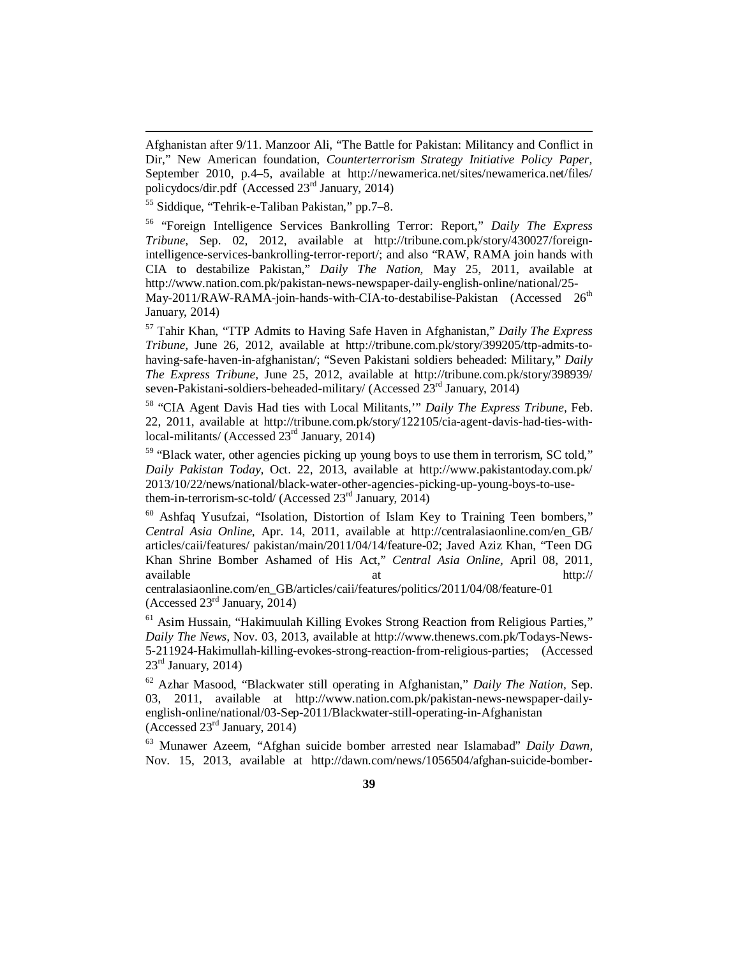Afghanistan after 9/11. Manzoor Ali, "The Battle for Pakistan: Militancy and Conflict in Dir," New American foundation, *Counterterrorism Strategy Initiative Policy Paper,*  September 2010, p.4–5, available at <http://newamerica.net/sites/newamerica.net/files/> policydocs/dir.pdf (Accessed 23rd January, 2014)

<sup>55</sup> Siddique, "Tehrik-e-Taliban Pakistan," pp.7–8.

 $\overline{a}$ 

<sup>56</sup> "Foreign Intelligence Services Bankrolling Terror: Report," *Daily The Express Tribune,* Sep. 02, 2012, available at [http://tribune.com.pk/story/430027/foreign](http://tribune.com.pk/story/430027/foreign-)intelligence-services-bankrolling-terror-report/; and also "RAW, RAMA join hands with CIA to destabilize Pakistan," *Daily The Nation,* May 25, 2011, available at <http://www.nation.com.pk/pakistan-news-newspaper-daily-english-online/national/25-> May-2011/RAW-RAMA-join-hands-with-CIA-to-destabilise-Pakistan (Accessed 26<sup>th</sup> January, 2014)

<sup>57</sup> Tahir Khan, "TTP Admits to Having Safe Haven in Afghanistan," *Daily The Express Tribune,* June 26, 2012, available at [http://tribune.com.pk/story/399205/ttp-admits-to](http://tribune.com.pk/story/399205/ttp-admits-to-)having-safe-haven-in-afghanistan/; "Seven Pakistani soldiers beheaded: Military," *Daily The Express Tribune,* June 25, 2012, available at <http://tribune.com.pk/story/398939/> seven-Pakistani-soldiers-beheaded-military/ (Accessed  $23<sup>rd</sup>$  January, 2014)

<sup>58</sup> "CIA Agent Davis Had ties with Local Militants,'" *Daily The Express Tribune,* Feb. 22, 2011, available at [http://tribune.com.pk/story/122105/cia-agent-davis-had-ties-with](http://tribune.com.pk/story/122105/cia-agent-davis-had-ties-with-)local-militants/ (Accessed 23<sup>rd</sup> January, 2014)

<sup>59</sup> "Black water, other agencies picking up young boys to use them in terrorism, SC told," *Daily Pakistan Today,* Oct. 22, 2013, available at <http://www.pakistantoday.com.pk/> 2013/10/22/news/national/black-water-other-agencies-picking-up-young-boys-to-usethem-in-terrorism-sc-told/ (Accessed 23<sup>rd</sup> January, 2014)

<sup>60</sup> Ashfaq Yusufzai, "Isolation, Distortion of Islam Key to Training Teen bombers," *Central Asia Online,* Apr. 14, 2011, available at [http://centralasiaonline.com/en\\_GB/](http://centralasiaonline.com/en_GB/) articles/caii/features/ pakistan/main/2011/04/14/feature-02; Javed Aziz Khan, "Teen DG Khan Shrine Bomber Ashamed of His Act," *Central Asia Online,* April 08, 2011, available <http://>

centralasiaonline.com/en\_GB/articles/caii/features/politics/2011/04/08/feature-01 (Accessed 23rd January, 2014)

<sup>61</sup> Asim Hussain, "Hakimuulah Killing Evokes Strong Reaction from Religious Parties," *Daily The News,* Nov. 03, 2013, available at <http://www.thenews.com.pk/Todays-News->5-211924-Hakimullah-killing-evokes-strong-reaction-from-religious-parties; (Accessed  $23<sup>rd</sup>$  January, 2014)

<sup>62</sup> Azhar Masood, "Blackwater still operating in Afghanistan," *Daily The Nation,* Sep. 03, 2011, available at [http://www.nation.com.pk/pakistan-news-newspaper-daily](http://www.nation.com.pk/pakistan-news-newspaper-daily-)english-online/national/03-Sep-2011/Blackwater-still-operating-in-Afghanistan (Accessed  $23<sup>rd</sup>$  January, 2014)

<sup>63</sup> Munawer Azeem, "Afghan suicide bomber arrested near Islamabad" *Daily Dawn,*  Nov. 15, 2013, available at <http://dawn.com/news/1056504/afghan-suicide-bomber->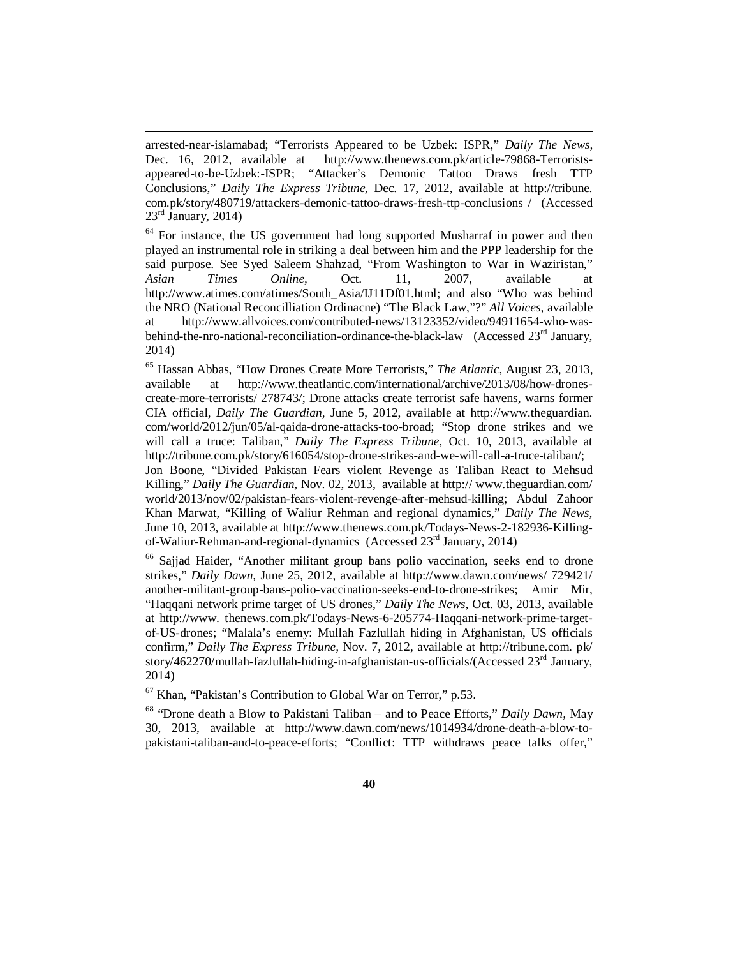arrested-near-islamabad; "Terrorists Appeared to be Uzbek: ISPR," *Daily The News,*  Dec. 16, 2012, available at [http://www.thenews.com.pk/article-79868-Terrorists](http://www.thenews.com.pk/article-79868-Terrorists-)appeared-to-be-Uzbek:-ISPR; "Attacker's Demonic Tattoo Draws fresh TTP Conclusions," *Daily The Express Tribune,* Dec. 17, 2012, available at <http://tribune.> com.pk/story/480719/attackers-demonic-tattoo-draws-fresh-ttp-conclusions / (Accessed  $23<sup>rd</sup>$  January, 2014)

 $\overline{a}$ 

 $64$  For instance, the US government had long supported Musharraf in power and then played an instrumental role in striking a deal between him and the PPP leadership for the said purpose. See Syed Saleem Shahzad, "From Washington to War in Waziristan," *Asian Times Online,* Oct. 11, 2007, available at [http://www.atimes.com/atimes/South\\_Asia/IJ11Df01.html;](http://www.atimes.com/atimes/South_Asia/IJ11Df01.html;) and also "Who was behind the NRO (National Reconcilliation Ordinacne) "The Black Law,"?" *All Voices,* available at [http://www.allvoices.com/contributed-news/13123352/video/94911654-who-was](http://www.allvoices.com/contributed-news/13123352/video/94911654-who-was-)behind-the-nro-national-reconciliation-ordinance-the-black-law (Accessed  $23<sup>rd</sup>$  January, 2014)

<sup>65</sup> Hassan Abbas, "How Drones Create More Terrorists," *The Atlantic,* August 23, 2013, available at [http://www.theatlantic.com/international/archive/2013/08/how-drones](http://www.theatlantic.com/international/archive/2013/08/how-drones-)create-more-terrorists/ 278743/; Drone attacks create terrorist safe havens, warns former CIA official, *Daily The Guardian,* June 5, 2012, available at <http://www.theguardian.> com/world/2012/jun/05/al-qaida-drone-attacks-too-broad; "Stop drone strikes and we will call a truce: Taliban," *Daily The Express Tribune,* Oct. 10, 2013, available at <http://tribune.com.pk/story/616054/stop-drone-strikes-and-we-will-call-a-truce-taliban/;>

Jon Boone, "Divided Pakistan Fears violent Revenge as Taliban React to Mehsud Killing," *Daily The Guardian,* Nov. 02, 2013, available at <http://> [www.theguardian.com/](http://www.theguardian.com/) world/2013/nov/02/pakistan-fears-violent-revenge-after-mehsud-killing; Abdul Zahoor Khan Marwat, "Killing of Waliur Rehman and regional dynamics," *Daily The News,*  June 10, 2013, available at [http://www.thenews.com.pk/Todays-News-2-182936-Killing](http://www.thenews.com.pk/Todays-News-2-182936-Killing-)of-Waliur-Rehman-and-regional-dynamics (Accessed 23rd January, 2014)

<sup>66</sup> Sajjad Haider, "Another militant group bans polio vaccination, seeks end to drone strikes," *Daily Dawn,* June 25, 2012, available at <http://www.dawn.com/news/> 729421/ another-militant-group-bans-polio-vaccination-seeks-end-to-drone-strikes; Amir Mir, "Haqqani network prime target of US drones," *Daily The News,* Oct. 03, 2013, available at <http://www.> thenews.com.pk/Todays-News-6-205774-Haqqani-network-prime-targetof-US-drones; "Malala's enemy: Mullah Fazlullah hiding in Afghanistan, US officials confirm," *Daily The Express Tribune,* Nov. 7, 2012, available at <http://tribune.com.> pk/ story/462270/mullah-fazlullah-hiding-in-afghanistan-us-officials/(Accessed 23<sup>rd</sup> January, 2014)

 $67$  Khan, "Pakistan's Contribution to Global War on Terror," p.53.

<sup>68</sup> "Drone death a Blow to Pakistani Taliban – and to Peace Efforts," *Daily Dawn,* May 30, 2013, available at [http://www.dawn.com/news/1014934/drone-death-a-blow-to](http://www.dawn.com/news/1014934/drone-death-a-blow-to-)pakistani-taliban-and-to-peace-efforts; "Conflict: TTP withdraws peace talks offer,"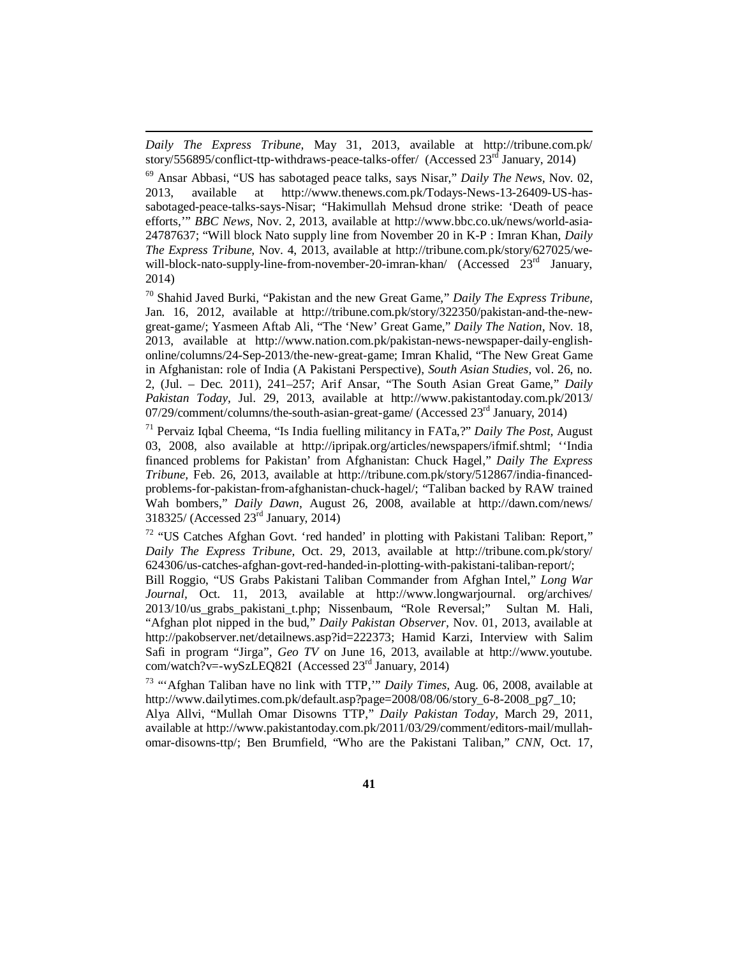*Daily The Express Tribune,* May 31, 2013, available at <http://tribune.com.pk/> story/556895/conflict-ttp-withdraws-peace-talks-offer/ (Accessed  $23<sup>rd</sup>$  January, 2014)

 $\overline{a}$ 

<sup>69</sup> Ansar Abbasi, "US has sabotaged peace talks, says Nisar," *Daily The News,* Nov. 02, 2013, available at [http://www.thenews.com.pk/Todays-News-13-26409-US-has](http://www.thenews.com.pk/Todays-News-13-26409-US-has-)sabotaged-peace-talks-says-Nisar; "Hakimullah Mehsud drone strike: 'Death of peace efforts,'" *BBC News,* Nov. 2, 2013, available at <http://www.bbc.co.uk/news/world-asia->24787637; "Will block Nato supply line from November 20 in K-P : Imran Khan, *Daily The Express Tribune,* Nov. 4, 2013, available at [http://tribune.com.pk/story/627025/we](http://tribune.com.pk/story/627025/we-)will-block-nato-supply-line-from-november-20-imran-khan/ (Accessed  $23<sup>rd</sup>$  January, 2014)

<sup>70</sup> Shahid Javed Burki, "Pakistan and the new Great Game," *Daily The Express Tribune,* Jan. 16, 2012, available at [http://tribune.com.pk/story/322350/pakistan-and-the-new](http://tribune.com.pk/story/322350/pakistan-and-the-new-)great-game/; Yasmeen Aftab Ali, "The 'New' Great Game," *Daily The Nation,* Nov. 18, 2013, available at [http://www.nation.com.pk/pakistan-news-newspaper-daily-english](http://www.nation.com.pk/pakistan-news-newspaper-daily-english-)online/columns/24-Sep-2013/the-new-great-game; Imran Khalid, "The New Great Game in Afghanistan: role of India (A Pakistani Perspective), *South Asian Studies,* vol. 26, no. 2, (Jul. – Dec. 2011), 241–257; Arif Ansar, "The South Asian Great Game," *Daily Pakistan Today,* Jul. 29, 2013, available at <http://www.pakistantoday.com.pk/2013/> 07/29/comment/columns/the-south-asian-great-game/ (Accessed 23<sup>rd</sup> January, 2014)

<sup>71</sup> Pervaiz Iqbal Cheema, "Is India fuelling militancy in FATa,?" *Daily The Post,* August 03, 2008, also available at <http://ipripak.org/articles/newspapers/ifmif.shtml;> ''India financed problems for Pakistan' from Afghanistan: Chuck Hagel," *Daily The Express Tribune,* Feb. 26, 2013, available at [http://tribune.com.pk/story/512867/india-financed](http://tribune.com.pk/story/512867/india-financed-)problems-for-pakistan-from-afghanistan-chuck-hagel/; "Taliban backed by RAW trained Wah bombers," *Daily Dawn,* August 26, 2008, available at <http://dawn.com/news/> 318325/ (Accessed 23rd January, 2014)

<sup>72</sup> "US Catches Afghan Govt. 'red handed' in plotting with Pakistani Taliban: Report," *Daily The Express Tribune,* Oct. 29, 2013, available at <http://tribune.com.pk/story/> 624306/us-catches-afghan-govt-red-handed-in-plotting-with-pakistani-taliban-report/;

Bill Roggio, "US Grabs Pakistani Taliban Commander from Afghan Intel," *Long War Journal,* Oct. 11, 2013, available at <http://www.longwarjournal.> org/archives/ 2013/10/us\_grabs\_pakistani\_t.php; Nissenbaum, "Role Reversal;" Sultan M. Hali, "Afghan plot nipped in the bud," *Daily Pakistan Observer,* Nov. 01, 2013, available at <http://pakobserver.net/detailnews.asp?id=222373;>Hamid Karzi, Interview with Salim Safi in program "Jirga", *Geo TV* on June 16, 2013, available at <http://www.youtube.> com/watch?v=-wySzLEQ82I (Accessed 23rd January, 2014)

<sup>73</sup> "'Afghan Taliban have no link with TTP,'" *Daily Times,* Aug. 06, 2008, available at [http://www.dailytimes.com.pk/default.asp?page=2008/08/06/story\\_6-8-2008\\_pg7\\_10;](http://www.dailytimes.com.pk/default.asp?page=2008/08/06/story_6-8-2008_pg7_10;) 

Alya Allvi, "Mullah Omar Disowns TTP," *Daily Pakistan Today,* March 29, 2011, available at [http://www.pakistantoday.com.pk/2011/03/29/comment/editors-mail/mullah](http://www.pakistantoday.com.pk/2011/03/29/comment/editors-mail/mullah-)omar-disowns-ttp/; Ben Brumfield, "Who are the Pakistani Taliban," *CNN,* Oct. 17,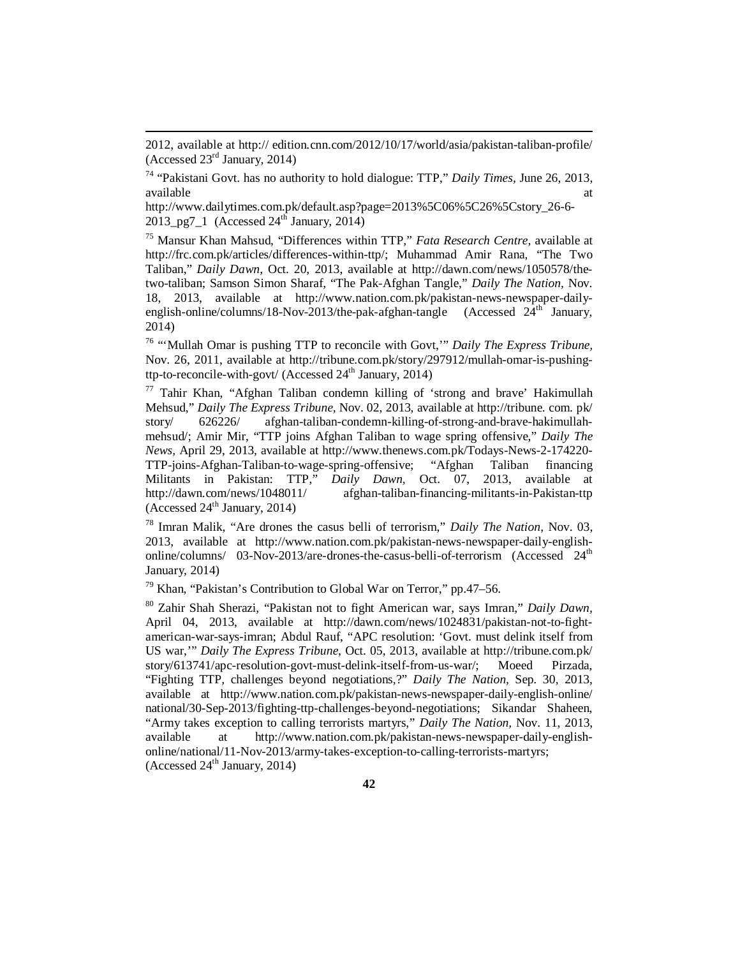2012, available at <http://> edition.cnn.com/2012/10/17/world/asia/pakistan-taliban-profile/ (Accessed 23rd January, 2014)

 $\overline{a}$ 

<sup>74</sup> "Pakistani Govt. has no authority to hold dialogue: TTP," *Daily Times,* June 26, 2013, available at a state of  $\alpha$  at a state of  $\alpha$  at a state of  $\alpha$  at a state of  $\alpha$  at a state of  $\alpha$  at a state of  $\alpha$  at a state of  $\alpha$  at a state of  $\alpha$  at a state of  $\alpha$  at a state of  $\alpha$  at a state of  $\alpha$  at

[http://www.dailytimes.com.pk/default.asp?page=2013%5C06%5C26%5Cstory\\_26-6-](http://www.dailytimes.com.pk/default.asp?page=2013%5C06%5C26%5Cstory_26-6-)  $2013$ \_pg7\_1 (Accessed  $24<sup>th</sup>$  January, 2014)

<sup>75</sup> Mansur Khan Mahsud, "Differences within TTP," *Fata Research Centre,* available at <http://frc.com.pk/articles/differences-within-ttp/;> Muhammad Amir Rana, "The Two Taliban," *Daily Dawn,* Oct. 20, 2013, available at [http://dawn.com/news/1050578/the](http://dawn.com/news/1050578/the-)two-taliban; Samson Simon Sharaf, "The Pak-Afghan Tangle," *Daily The Nation,* Nov. 18, 2013, available at [http://www.nation.com.pk/pakistan-news-newspaper-daily](http://www.nation.com.pk/pakistan-news-newspaper-daily-)english-online/columns/18-Nov-2013/the-pak-afghan-tangle (Accessed  $24<sup>th</sup>$  January, 2014)

<sup>76</sup> "'Mullah Omar is pushing TTP to reconcile with Govt,'" *Daily The Express Tribune,*  Nov. 26, 2011, available at [http://tribune.com.pk/story/297912/mullah-omar-is-pushing](http://tribune.com.pk/story/297912/mullah-omar-is-pushing-)ttp-to-reconcile-with-govt/ (Accessed  $24<sup>th</sup>$  January, 2014)

 $77$  Tahir Khan, "Afghan Taliban condemn killing of 'strong and brave' Hakimullah Mehsud," *Daily The Express Tribune,* Nov. 02, 2013, available at <http://tribune.> com. pk/ story/ 626226/ afghan-taliban-condemn-killing-of-strong-and-brave-hakimullahmehsud/; Amir Mir, "TTP joins Afghan Taliban to wage spring offensive," *Daily The News,* April 29, 2013, available at <http://www.thenews.com.pk/Todays-News-2-174220-> TTP-joins-Afghan-Taliban-to-wage-spring-offensive; "Afghan Taliban financing Militants in Pakistan: TTP," *Daily Dawn,* Oct. 07, 2013, available at <http://dawn.com/news/1048011/> afghan-taliban-financing-militants-in-Pakistan-ttp (Accessed  $24<sup>th</sup>$  January, 2014)

<sup>78</sup> Imran Malik, "Are drones the casus belli of terrorism," *Daily The Nation,* Nov. 03, 2013, available at [http://www.nation.com.pk/pakistan-news-newspaper-daily-english](http://www.nation.com.pk/pakistan-news-newspaper-daily-english-)online/columns/  $03$ -Nov-2013/are-drones-the-casus-belli-of-terrorism (Accessed  $24<sup>th</sup>$ January, 2014)

 $79$  Khan, "Pakistan's Contribution to Global War on Terror," pp. 47–56.

<sup>80</sup> Zahir Shah Sherazi, "Pakistan not to fight American war, says Imran," *Daily Dawn,*  April 04, 2013, available at [http://dawn.com/news/1024831/pakistan-not-to-fight](http://dawn.com/news/1024831/pakistan-not-to-fight-)american-war-says-imran; Abdul Rauf, "APC resolution: 'Govt. must delink itself from US war,'" *Daily The Express Tribune*, Oct. 05, 2013, available at <http://tribune.com.pk/> story/613741/apc-resolution-govt-must-delink-itself-from-us-war/; Moeed Pirzada, "Fighting TTP, challenges beyond negotiations,?" *Daily The Nation,* Sep. 30, 2013, available at <http://www.nation.com.pk/pakistan-news-newspaper-daily-english-online/> national/30-Sep-2013/fighting-ttp-challenges-beyond-negotiations; Sikandar Shaheen, "Army takes exception to calling terrorists martyrs," *Daily The Nation,* Nov. 11, 2013, available at [http://www.nation.com.pk/pakistan-news-newspaper-daily-english](http://www.nation.com.pk/pakistan-news-newspaper-daily-english-)online/national/11-Nov-2013/army-takes-exception-to-calling-terrorists-martyrs; (Accessed  $24<sup>th</sup>$  January, 2014)